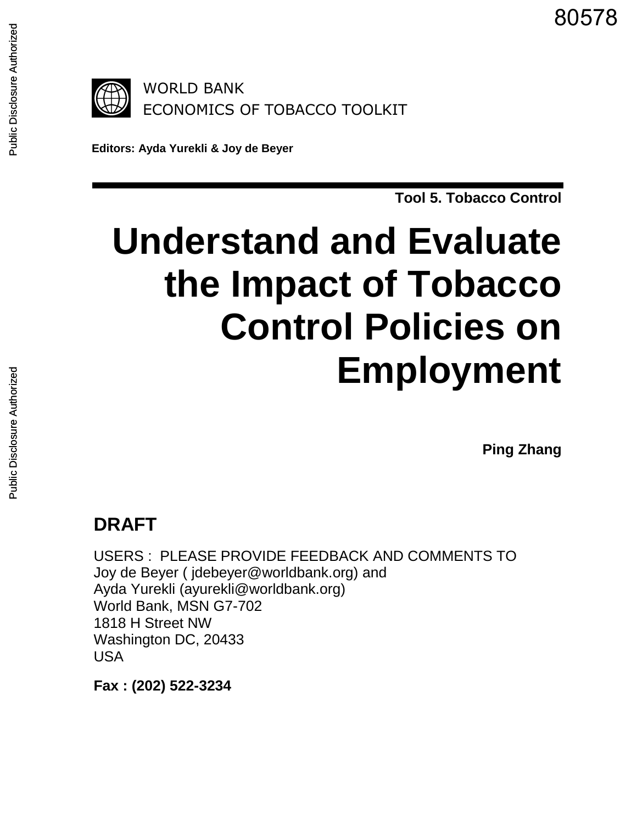80578

**Editors: Ayda Yurekli & Joy de Beyer**

**Tool 5. Tobacco Control**

# **Understand and Evaluate the Impact of Tobacco Control Policies on Employment**

**Ping Zhang**

# **DRAFT**

USERS : PLEASE PROVIDE FEEDBACK AND COMMENTS TO Joy de Beyer ( jdebeyer@worldbank.org) and Ayda Yurekli (ayurekli@worldbank.org) World Bank, MSN G7-702 1818 H Street NW Washington DC, 20433 USA

**Fax : (202) 522-3234**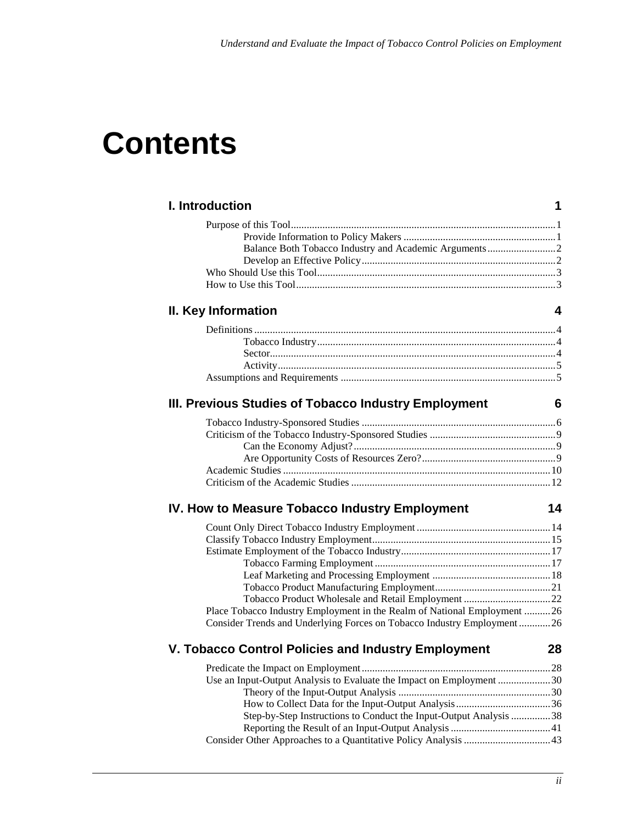# **Contents**

| I. Introduction                                                          | 1  |
|--------------------------------------------------------------------------|----|
|                                                                          |    |
|                                                                          |    |
|                                                                          |    |
|                                                                          |    |
|                                                                          |    |
|                                                                          |    |
| II. Key Information                                                      | 4  |
|                                                                          |    |
|                                                                          |    |
|                                                                          |    |
|                                                                          |    |
|                                                                          |    |
| III. Previous Studies of Tobacco Industry Employment                     | 6  |
|                                                                          |    |
|                                                                          |    |
|                                                                          |    |
|                                                                          |    |
|                                                                          |    |
|                                                                          |    |
| IV. How to Measure Tobacco Industry Employment                           | 14 |
|                                                                          |    |
|                                                                          |    |
|                                                                          |    |
|                                                                          |    |
|                                                                          |    |
|                                                                          |    |
|                                                                          |    |
| Place Tobacco Industry Employment in the Realm of National Employment 26 |    |
| Consider Trends and Underlying Forces on Tobacco Industry Employment26   |    |
| V. Tobacco Control Policies and Industry Employment                      | 28 |
|                                                                          |    |
| Use an Input-Output Analysis to Evaluate the Impact on Employment 30     |    |
|                                                                          |    |
|                                                                          |    |
| Step-by-Step Instructions to Conduct the Input-Output Analysis 38        |    |
|                                                                          |    |
|                                                                          |    |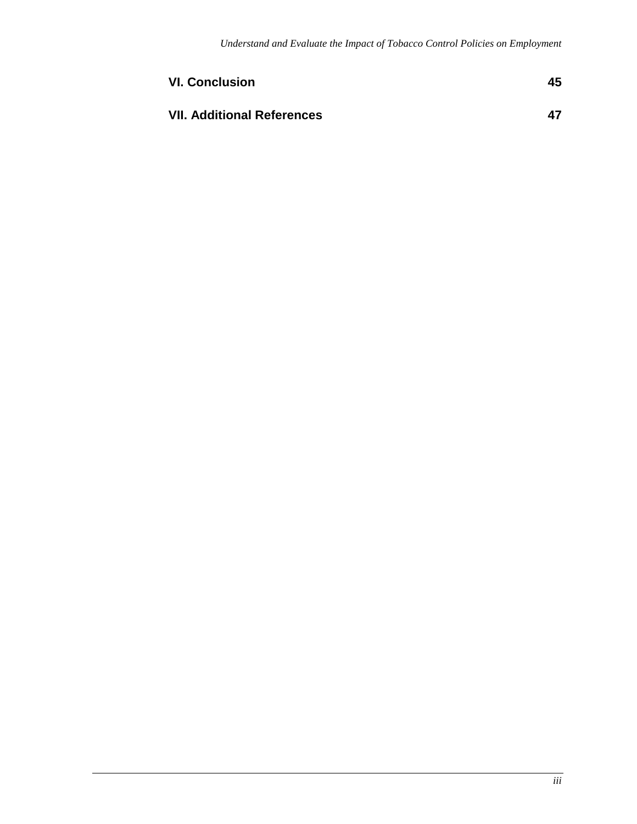| <b>VI. Conclusion</b>             | 45 |
|-----------------------------------|----|
| <b>VII. Additional References</b> | 47 |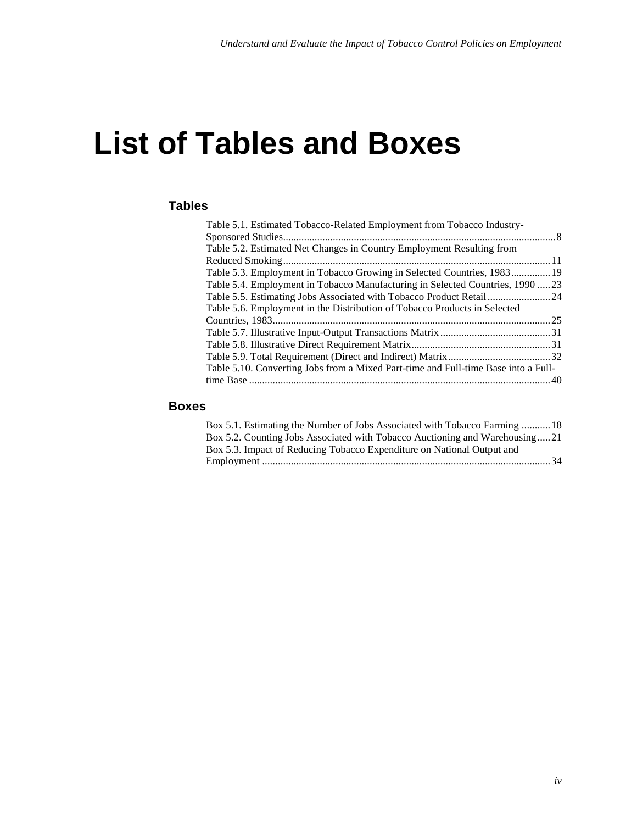# **List of Tables and Boxes**

#### **Tables**

| Table 5.1. Estimated Tobacco-Related Employment from Tobacco Industry-             |  |
|------------------------------------------------------------------------------------|--|
|                                                                                    |  |
| Table 5.2. Estimated Net Changes in Country Employment Resulting from              |  |
|                                                                                    |  |
| Table 5.3. Employment in Tobacco Growing in Selected Countries, 1983 19            |  |
| Table 5.4. Employment in Tobacco Manufacturing in Selected Countries, 199023       |  |
| Table 5.5. Estimating Jobs Associated with Tobacco Product Retail 24               |  |
| Table 5.6. Employment in the Distribution of Tobacco Products in Selected          |  |
|                                                                                    |  |
|                                                                                    |  |
|                                                                                    |  |
|                                                                                    |  |
| Table 5.10. Converting Jobs from a Mixed Part-time and Full-time Base into a Full- |  |
|                                                                                    |  |
|                                                                                    |  |

#### **Boxes**

| Box 5.1. Estimating the Number of Jobs Associated with Tobacco Farming  18  |  |
|-----------------------------------------------------------------------------|--|
| Box 5.2. Counting Jobs Associated with Tobacco Auctioning and Warehousing21 |  |
| Box 5.3. Impact of Reducing Tobacco Expenditure on National Output and      |  |
|                                                                             |  |
|                                                                             |  |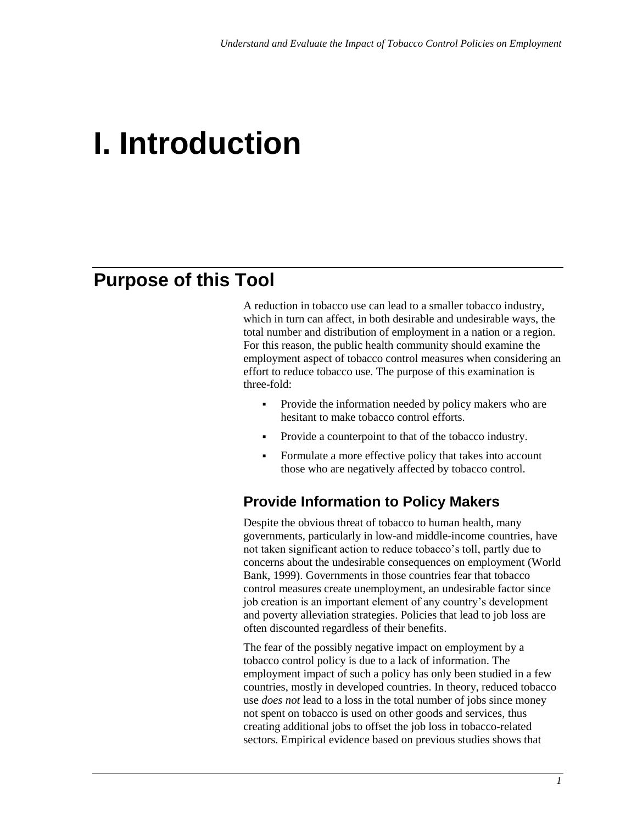# **I. Introduction**

## **Purpose of this Tool**

A reduction in tobacco use can lead to a smaller tobacco industry, which in turn can affect, in both desirable and undesirable ways, the total number and distribution of employment in a nation or a region. For this reason, the public health community should examine the employment aspect of tobacco control measures when considering an effort to reduce tobacco use. The purpose of this examination is three-fold:

- Provide the information needed by policy makers who are hesitant to make tobacco control efforts.
- Provide a counterpoint to that of the tobacco industry.
- Formulate a more effective policy that takes into account those who are negatively affected by tobacco control.

### **Provide Information to Policy Makers**

Despite the obvious threat of tobacco to human health, many governments, particularly in low-and middle-income countries, have not taken significant action to reduce tobacco's toll, partly due to concerns about the undesirable consequences on employment (World Bank, 1999). Governments in those countries fear that tobacco control measures create unemployment, an undesirable factor since job creation is an important element of any country's development and poverty alleviation strategies. Policies that lead to job loss are often discounted regardless of their benefits.

The fear of the possibly negative impact on employment by a tobacco control policy is due to a lack of information. The employment impact of such a policy has only been studied in a few countries, mostly in developed countries. In theory, reduced tobacco use *does not* lead to a loss in the total number of jobs since money not spent on tobacco is used on other goods and services, thus creating additional jobs to offset the job loss in tobacco-related sectors. Empirical evidence based on previous studies shows that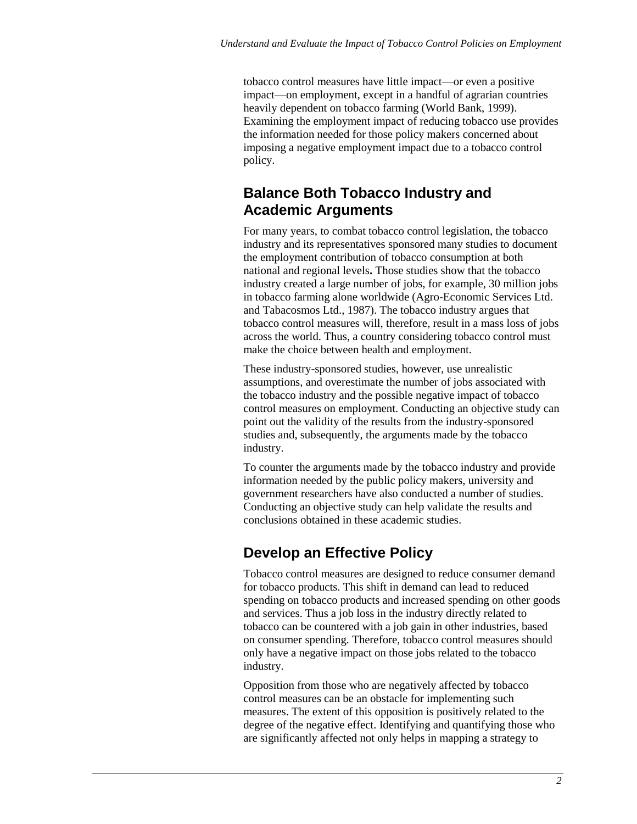tobacco control measures have little impact—or even a positive impact—on employment, except in a handful of agrarian countries heavily dependent on tobacco farming (World Bank, 1999). Examining the employment impact of reducing tobacco use provides the information needed for those policy makers concerned about imposing a negative employment impact due to a tobacco control policy.

### **Balance Both Tobacco Industry and Academic Arguments**

For many years, to combat tobacco control legislation, the tobacco industry and its representatives sponsored many studies to document the employment contribution of tobacco consumption at both national and regional levels**.** Those studies show that the tobacco industry created a large number of jobs, for example, 30 million jobs in tobacco farming alone worldwide (Agro-Economic Services Ltd. and Tabacosmos Ltd., 1987). The tobacco industry argues that tobacco control measures will, therefore, result in a mass loss of jobs across the world. Thus, a country considering tobacco control must make the choice between health and employment.

These industry-sponsored studies, however, use unrealistic assumptions, and overestimate the number of jobs associated with the tobacco industry and the possible negative impact of tobacco control measures on employment. Conducting an objective study can point out the validity of the results from the industry-sponsored studies and, subsequently, the arguments made by the tobacco industry.

To counter the arguments made by the tobacco industry and provide information needed by the public policy makers, university and government researchers have also conducted a number of studies. Conducting an objective study can help validate the results and conclusions obtained in these academic studies.

## **Develop an Effective Policy**

Tobacco control measures are designed to reduce consumer demand for tobacco products. This shift in demand can lead to reduced spending on tobacco products and increased spending on other goods and services. Thus a job loss in the industry directly related to tobacco can be countered with a job gain in other industries, based on consumer spending. Therefore, tobacco control measures should only have a negative impact on those jobs related to the tobacco industry.

Opposition from those who are negatively affected by tobacco control measures can be an obstacle for implementing such measures. The extent of this opposition is positively related to the degree of the negative effect. Identifying and quantifying those who are significantly affected not only helps in mapping a strategy to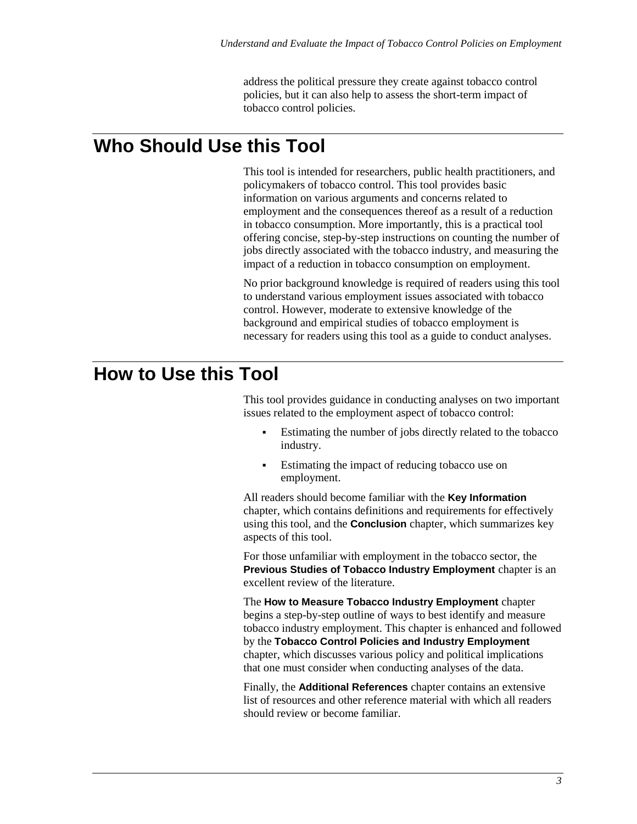address the political pressure they create against tobacco control policies, but it can also help to assess the short-term impact of tobacco control policies.

## **Who Should Use this Tool**

This tool is intended for researchers, public health practitioners, and policymakers of tobacco control. This tool provides basic information on various arguments and concerns related to employment and the consequences thereof as a result of a reduction in tobacco consumption. More importantly, this is a practical tool offering concise, step-by-step instructions on counting the number of jobs directly associated with the tobacco industry, and measuring the impact of a reduction in tobacco consumption on employment.

No prior background knowledge is required of readers using this tool to understand various employment issues associated with tobacco control. However, moderate to extensive knowledge of the background and empirical studies of tobacco employment is necessary for readers using this tool as a guide to conduct analyses.

## **How to Use this Tool**

This tool provides guidance in conducting analyses on two important issues related to the employment aspect of tobacco control:

- Estimating the number of jobs directly related to the tobacco industry.
- Estimating the impact of reducing tobacco use on employment.

All readers should become familiar with the **Key Information** chapter, which contains definitions and requirements for effectively using this tool, and the **Conclusion** chapter, which summarizes key aspects of this tool.

For those unfamiliar with employment in the tobacco sector, the **Previous Studies of Tobacco Industry Employment** chapter is an excellent review of the literature.

The **How to Measure Tobacco Industry Employment** chapter begins a step-by-step outline of ways to best identify and measure tobacco industry employment. This chapter is enhanced and followed by the **Tobacco Control Policies and Industry Employment** chapter, which discusses various policy and political implications that one must consider when conducting analyses of the data.

Finally, the **Additional References** chapter contains an extensive list of resources and other reference material with which all readers should review or become familiar.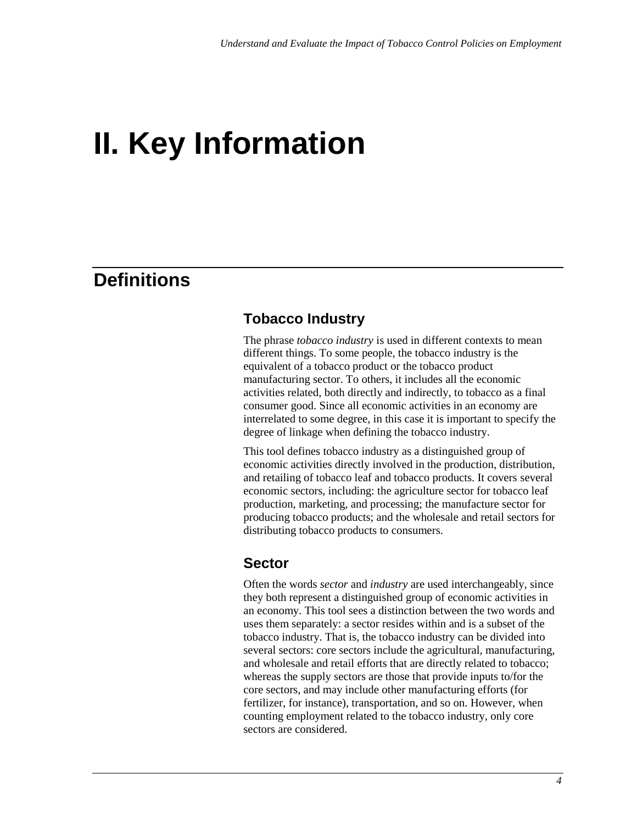# **II. Key Information**

## **Definitions**

#### **Tobacco Industry**

The phrase *tobacco industry* is used in different contexts to mean different things. To some people, the tobacco industry is the equivalent of a tobacco product or the tobacco product manufacturing sector. To others, it includes all the economic activities related, both directly and indirectly, to tobacco as a final consumer good. Since all economic activities in an economy are interrelated to some degree, in this case it is important to specify the degree of linkage when defining the tobacco industry.

This tool defines tobacco industry as a distinguished group of economic activities directly involved in the production, distribution, and retailing of tobacco leaf and tobacco products. It covers several economic sectors, including: the agriculture sector for tobacco leaf production, marketing, and processing; the manufacture sector for producing tobacco products; and the wholesale and retail sectors for distributing tobacco products to consumers.

#### **Sector**

Often the words *sector* and *industry* are used interchangeably, since they both represent a distinguished group of economic activities in an economy. This tool sees a distinction between the two words and uses them separately: a sector resides within and is a subset of the tobacco industry. That is, the tobacco industry can be divided into several sectors: core sectors include the agricultural, manufacturing, and wholesale and retail efforts that are directly related to tobacco; whereas the supply sectors are those that provide inputs to/for the core sectors, and may include other manufacturing efforts (for fertilizer, for instance), transportation, and so on. However, when counting employment related to the tobacco industry, only core sectors are considered.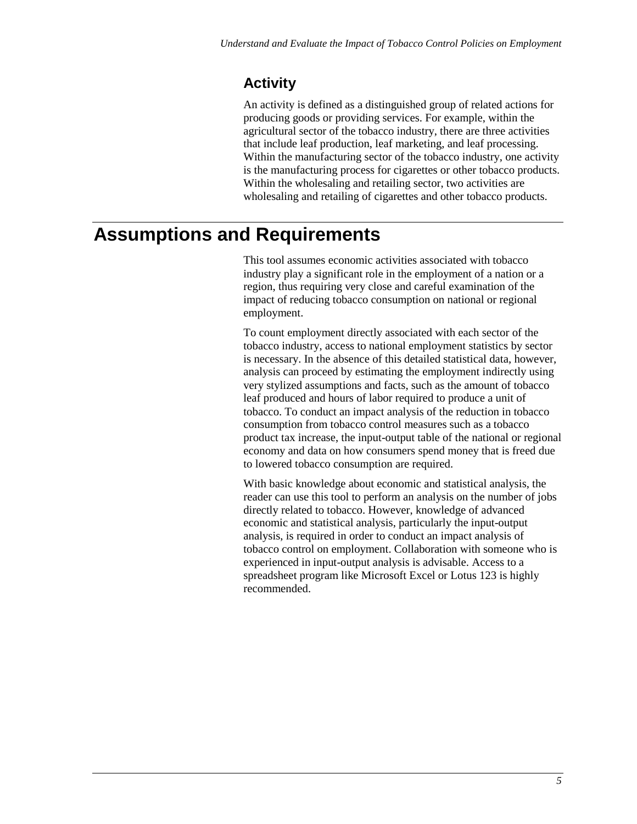### **Activity**

An activity is defined as a distinguished group of related actions for producing goods or providing services. For example, within the agricultural sector of the tobacco industry, there are three activities that include leaf production, leaf marketing, and leaf processing. Within the manufacturing sector of the tobacco industry, one activity is the manufacturing process for cigarettes or other tobacco products. Within the wholesaling and retailing sector, two activities are wholesaling and retailing of cigarettes and other tobacco products.

## **Assumptions and Requirements**

This tool assumes economic activities associated with tobacco industry play a significant role in the employment of a nation or a region, thus requiring very close and careful examination of the impact of reducing tobacco consumption on national or regional employment.

To count employment directly associated with each sector of the tobacco industry, access to national employment statistics by sector is necessary. In the absence of this detailed statistical data, however, analysis can proceed by estimating the employment indirectly using very stylized assumptions and facts, such as the amount of tobacco leaf produced and hours of labor required to produce a unit of tobacco. To conduct an impact analysis of the reduction in tobacco consumption from tobacco control measures such as a tobacco product tax increase, the input-output table of the national or regional economy and data on how consumers spend money that is freed due to lowered tobacco consumption are required.

With basic knowledge about economic and statistical analysis, the reader can use this tool to perform an analysis on the number of jobs directly related to tobacco. However, knowledge of advanced economic and statistical analysis, particularly the input-output analysis, is required in order to conduct an impact analysis of tobacco control on employment. Collaboration with someone who is experienced in input-output analysis is advisable. Access to a spreadsheet program like Microsoft Excel or Lotus 123 is highly recommended.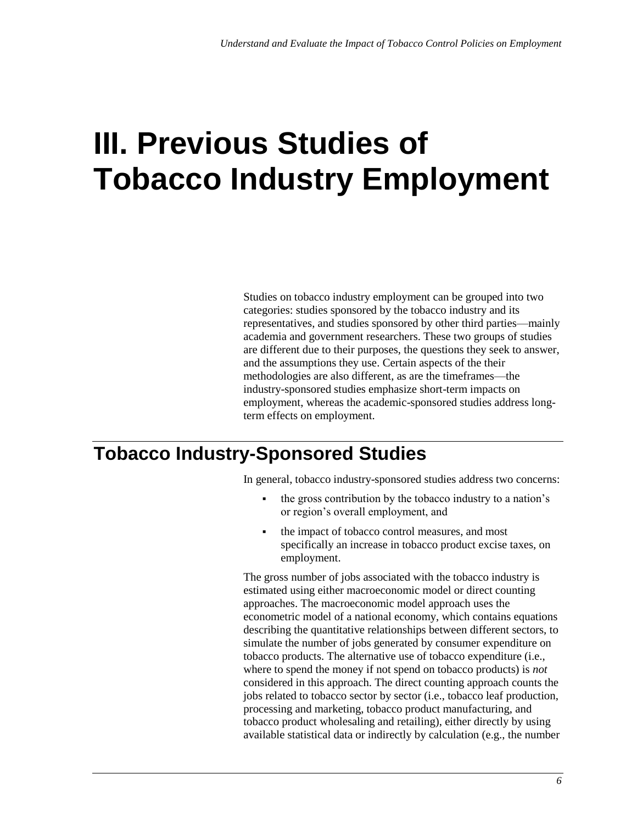# **III. Previous Studies of Tobacco Industry Employment**

Studies on tobacco industry employment can be grouped into two categories: studies sponsored by the tobacco industry and its representatives, and studies sponsored by other third parties—mainly academia and government researchers. These two groups of studies are different due to their purposes, the questions they seek to answer, and the assumptions they use. Certain aspects of the their methodologies are also different, as are the timeframes—the industry-sponsored studies emphasize short-term impacts on employment, whereas the academic-sponsored studies address longterm effects on employment.

## **Tobacco Industry-Sponsored Studies**

In general, tobacco industry-sponsored studies address two concerns:

- the gross contribution by the tobacco industry to a nation's or region's overall employment, and
- the impact of tobacco control measures, and most specifically an increase in tobacco product excise taxes, on employment.

The gross number of jobs associated with the tobacco industry is estimated using either macroeconomic model or direct counting approaches. The macroeconomic model approach uses the econometric model of a national economy, which contains equations describing the quantitative relationships between different sectors, to simulate the number of jobs generated by consumer expenditure on tobacco products. The alternative use of tobacco expenditure (i.e., where to spend the money if not spend on tobacco products) is *not* considered in this approach. The direct counting approach counts the jobs related to tobacco sector by sector (i.e., tobacco leaf production, processing and marketing, tobacco product manufacturing, and tobacco product wholesaling and retailing), either directly by using available statistical data or indirectly by calculation (e.g., the number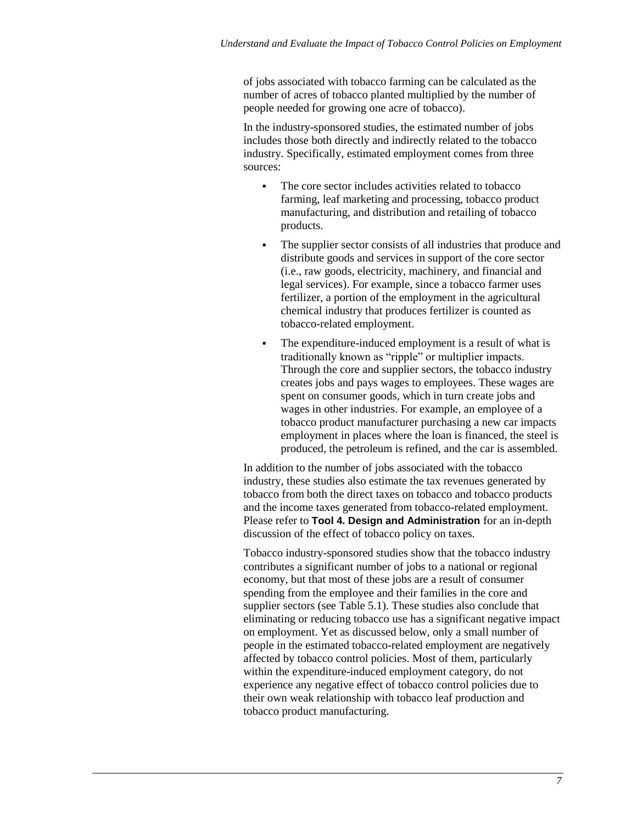of jobs associated with tobacco farming can be calculated as the number of acres of tobacco planted multiplied by the number of people needed for growing one acre of tobacco).

In the industry-sponsored studies, the estimated number of jobs includes those both directly and indirectly related to the tobacco industry. Specifically, estimated employment comes from three sources:

- The core sector includes activities related to tobacco farming, leaf marketing and processing, tobacco product manufacturing, and distribution and retailing of tobacco products.
- The supplier sector consists of all industries that produce and distribute goods and services in support of the core sector (i.e., raw goods, electricity, machinery, and financial and legal services). For example, since a tobacco farmer uses fertilizer, a portion of the employment in the agricultural chemical industry that produces fertilizer is counted as tobacco-related employment.
- The expenditure-induced employment is a result of what is traditionally known as "ripple" or multiplier impacts. Through the core and supplier sectors, the tobacco industry creates jobs and pays wages to employees. These wages are spent on consumer goods, which in turn create jobs and wages in other industries. For example, an employee of a tobacco product manufacturer purchasing a new car impacts employment in places where the loan is financed, the steel is produced, the petroleum is refined, and the car is assembled.

In addition to the number of jobs associated with the tobacco industry, these studies also estimate the tax revenues generated by tobacco from both the direct taxes on tobacco and tobacco products and the income taxes generated from tobacco-related employment. Please refer to **Tool 4. Design and Administration** for an in-depth discussion of the effect of tobacco policy on taxes.

Tobacco industry-sponsored studies show that the tobacco industry contributes a significant number of jobs to a national or regional economy, but that most of these jobs are a result of consumer spending from the employee and their families in the core and supplier sectors (see Table 5.1). These studies also conclude that eliminating or reducing tobacco use has a significant negative impact on employment. Yet as discussed below, only a small number of people in the estimated tobacco-related employment are negatively affected by tobacco control policies. Most of them, particularly within the expenditure-induced employment category, do not experience any negative effect of tobacco control policies due to their own weak relationship with tobacco leaf production and tobacco product manufacturing.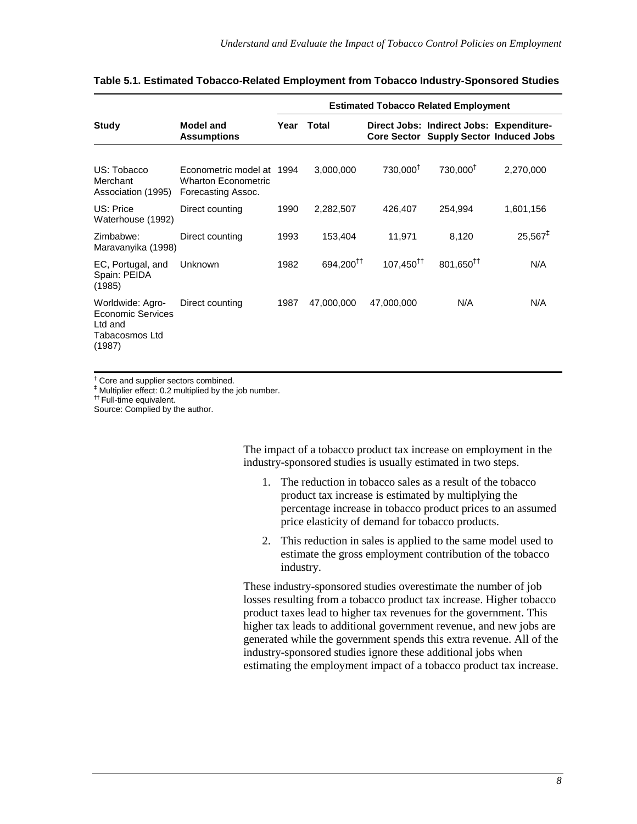|                                                                              |                                                                               | <b>Estimated Tobacco Related Employment</b> |                       |                            |                                                                                    |                     |
|------------------------------------------------------------------------------|-------------------------------------------------------------------------------|---------------------------------------------|-----------------------|----------------------------|------------------------------------------------------------------------------------|---------------------|
| Study                                                                        | <b>Model and</b><br><b>Assumptions</b>                                        | Year                                        | Total                 |                            | Direct Jobs: Indirect Jobs: Expenditure-<br>Core Sector Supply Sector Induced Jobs |                     |
| US: Tobacco<br>Merchant<br>Association (1995)                                | Econometric model at 1994<br><b>Wharton Econometric</b><br>Forecasting Assoc. |                                             | 3,000,000             | 730,000 <sup>t</sup>       | 730,000 <sup>+</sup>                                                               | 2,270,000           |
| US: Price<br>Waterhouse (1992)                                               | Direct counting                                                               | 1990                                        | 2,282,507             | 426,407                    | 254,994                                                                            | 1,601,156           |
| Zimbabwe:<br>Maravanyika (1998)                                              | Direct counting                                                               | 1993                                        | 153,404               | 11,971                     | 8,120                                                                              | $25,567^{\ddagger}$ |
| EC, Portugal, and<br>Spain: PEIDA<br>(1985)                                  | Unknown                                                                       | 1982                                        | 694,200 <sup>††</sup> | $107,450^{\dagger\dagger}$ | 801,650 <sup>††</sup>                                                              | N/A                 |
| Worldwide: Agro-<br>Economic Services<br>Ltd and<br>Tabacosmos Ltd<br>(1987) | Direct counting                                                               | 1987                                        | 47,000,000            | 47,000,000                 | N/A                                                                                | N/A                 |

#### **Table 5.1. Estimated Tobacco-Related Employment from Tobacco Industry-Sponsored Studies**

† Core and supplier sectors combined.

‡ Multiplier effect: 0.2 multiplied by the job number.

†† Full-time equivalent.

Source: Complied by the author.

The impact of a tobacco product tax increase on employment in the industry-sponsored studies is usually estimated in two steps.

- 1. The reduction in tobacco sales as a result of the tobacco product tax increase is estimated by multiplying the percentage increase in tobacco product prices to an assumed price elasticity of demand for tobacco products.
- 2. This reduction in sales is applied to the same model used to estimate the gross employment contribution of the tobacco industry.

These industry-sponsored studies overestimate the number of job losses resulting from a tobacco product tax increase. Higher tobacco product taxes lead to higher tax revenues for the government. This higher tax leads to additional government revenue, and new jobs are generated while the government spends this extra revenue. All of the industry-sponsored studies ignore these additional jobs when estimating the employment impact of a tobacco product tax increase.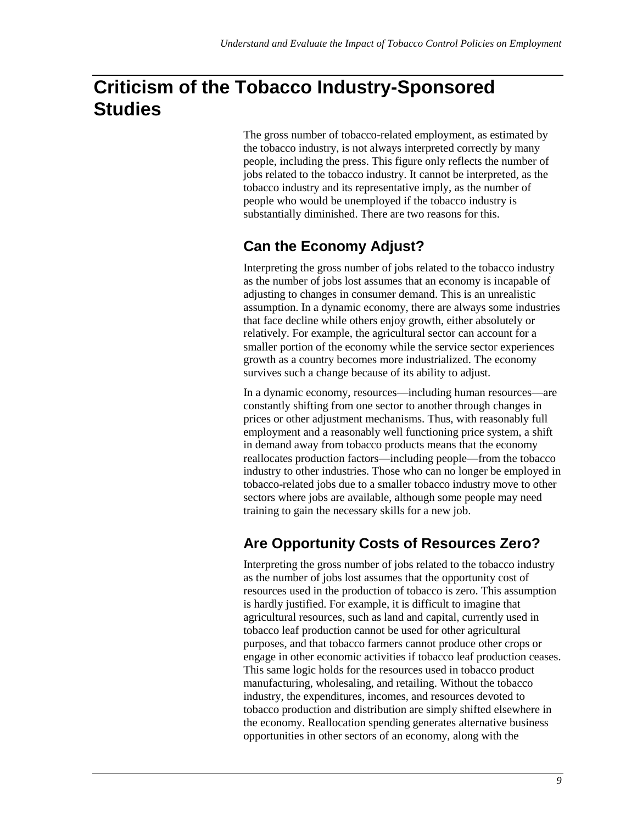# **Criticism of the Tobacco Industry-Sponsored Studies**

The gross number of tobacco-related employment, as estimated by the tobacco industry, is not always interpreted correctly by many people, including the press. This figure only reflects the number of jobs related to the tobacco industry. It cannot be interpreted, as the tobacco industry and its representative imply, as the number of people who would be unemployed if the tobacco industry is substantially diminished. There are two reasons for this.

### **Can the Economy Adjust?**

Interpreting the gross number of jobs related to the tobacco industry as the number of jobs lost assumes that an economy is incapable of adjusting to changes in consumer demand. This is an unrealistic assumption. In a dynamic economy, there are always some industries that face decline while others enjoy growth, either absolutely or relatively. For example, the agricultural sector can account for a smaller portion of the economy while the service sector experiences growth as a country becomes more industrialized. The economy survives such a change because of its ability to adjust.

In a dynamic economy, resources—including human resources—are constantly shifting from one sector to another through changes in prices or other adjustment mechanisms. Thus, with reasonably full employment and a reasonably well functioning price system, a shift in demand away from tobacco products means that the economy reallocates production factors—including people—from the tobacco industry to other industries. Those who can no longer be employed in tobacco-related jobs due to a smaller tobacco industry move to other sectors where jobs are available, although some people may need training to gain the necessary skills for a new job.

## **Are Opportunity Costs of Resources Zero?**

Interpreting the gross number of jobs related to the tobacco industry as the number of jobs lost assumes that the opportunity cost of resources used in the production of tobacco is zero. This assumption is hardly justified. For example, it is difficult to imagine that agricultural resources, such as land and capital, currently used in tobacco leaf production cannot be used for other agricultural purposes, and that tobacco farmers cannot produce other crops or engage in other economic activities if tobacco leaf production ceases. This same logic holds for the resources used in tobacco product manufacturing, wholesaling, and retailing. Without the tobacco industry, the expenditures, incomes, and resources devoted to tobacco production and distribution are simply shifted elsewhere in the economy. Reallocation spending generates alternative business opportunities in other sectors of an economy, along with the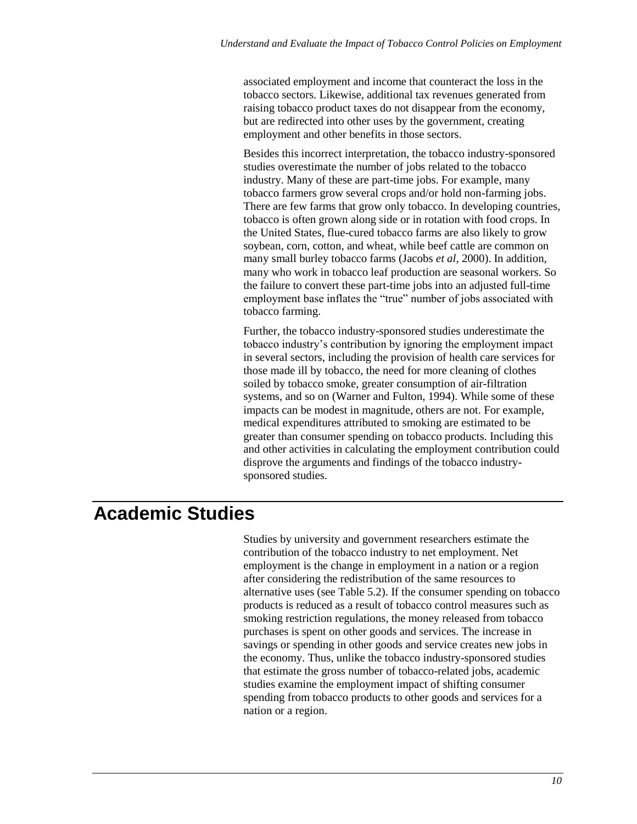associated employment and income that counteract the loss in the tobacco sectors. Likewise, additional tax revenues generated from raising tobacco product taxes do not disappear from the economy, but are redirected into other uses by the government, creating employment and other benefits in those sectors.

Besides this incorrect interpretation, the tobacco industry-sponsored studies overestimate the number of jobs related to the tobacco industry. Many of these are part-time jobs. For example, many tobacco farmers grow several crops and/or hold non-farming jobs. There are few farms that grow only tobacco. In developing countries, tobacco is often grown along side or in rotation with food crops. In the United States, flue-cured tobacco farms are also likely to grow soybean, corn, cotton, and wheat, while beef cattle are common on many small burley tobacco farms (Jacobs *et al*, 2000). In addition, many who work in tobacco leaf production are seasonal workers. So the failure to convert these part-time jobs into an adjusted full-time employment base inflates the "true" number of jobs associated with tobacco farming.

Further, the tobacco industry-sponsored studies underestimate the tobacco industry's contribution by ignoring the employment impact in several sectors, including the provision of health care services for those made ill by tobacco, the need for more cleaning of clothes soiled by tobacco smoke, greater consumption of air-filtration systems, and so on (Warner and Fulton, 1994). While some of these impacts can be modest in magnitude, others are not. For example, medical expenditures attributed to smoking are estimated to be greater than consumer spending on tobacco products. Including this and other activities in calculating the employment contribution could disprove the arguments and findings of the tobacco industrysponsored studies.

# **Academic Studies**

Studies by university and government researchers estimate the contribution of the tobacco industry to net employment. Net employment is the change in employment in a nation or a region after considering the redistribution of the same resources to alternative uses (see Table 5.2). If the consumer spending on tobacco products is reduced as a result of tobacco control measures such as smoking restriction regulations, the money released from tobacco purchases is spent on other goods and services. The increase in savings or spending in other goods and service creates new jobs in the economy. Thus, unlike the tobacco industry-sponsored studies that estimate the gross number of tobacco-related jobs, academic studies examine the employment impact of shifting consumer spending from tobacco products to other goods and services for a nation or a region.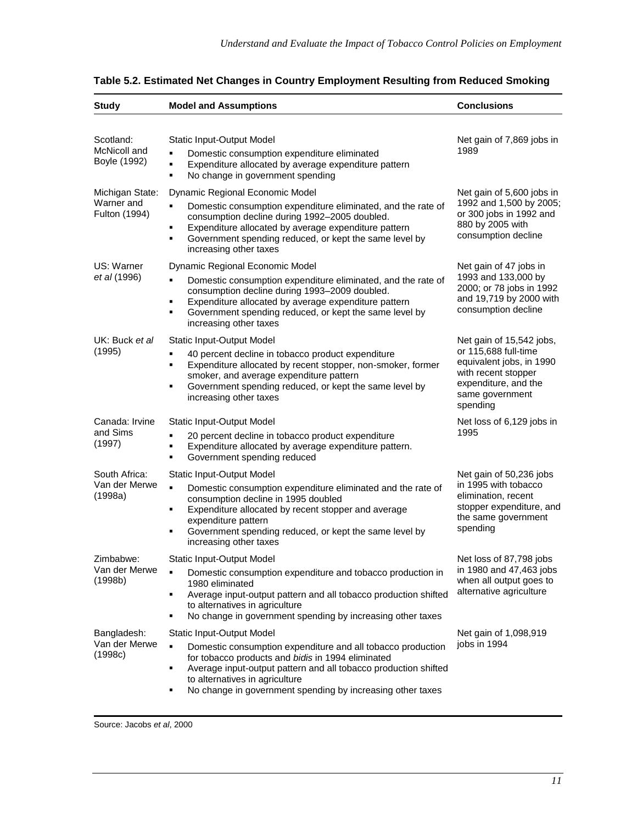| <b>Study</b>                                                                                                                                                                                                                                                                                                                                             | <b>Model and Assumptions</b>                                                                                                                                                                                                                                                                                                                 | <b>Conclusions</b>                                                                                                                                         |  |
|----------------------------------------------------------------------------------------------------------------------------------------------------------------------------------------------------------------------------------------------------------------------------------------------------------------------------------------------------------|----------------------------------------------------------------------------------------------------------------------------------------------------------------------------------------------------------------------------------------------------------------------------------------------------------------------------------------------|------------------------------------------------------------------------------------------------------------------------------------------------------------|--|
| Scotland:                                                                                                                                                                                                                                                                                                                                                | Static Input-Output Model                                                                                                                                                                                                                                                                                                                    | Net gain of 7,869 jobs in<br>1989                                                                                                                          |  |
| McNicoll and<br>Boyle (1992)                                                                                                                                                                                                                                                                                                                             | Domestic consumption expenditure eliminated<br>Expenditure allocated by average expenditure pattern<br>٠<br>No change in government spending<br>٠                                                                                                                                                                                            |                                                                                                                                                            |  |
| Dynamic Regional Economic Model<br>Michigan State:<br>Warner and<br>Domestic consumption expenditure eliminated, and the rate of<br>Ξ<br>Fulton (1994)<br>consumption decline during 1992-2005 doubled.<br>Expenditure allocated by average expenditure pattern<br>Government spending reduced, or kept the same level by<br>٠<br>increasing other taxes |                                                                                                                                                                                                                                                                                                                                              | Net gain of 5,600 jobs in<br>1992 and 1,500 by 2005;<br>or 300 jobs in 1992 and<br>880 by 2005 with<br>consumption decline                                 |  |
| US: Warner<br>et al (1996)                                                                                                                                                                                                                                                                                                                               | Dynamic Regional Economic Model<br>Domestic consumption expenditure eliminated, and the rate of<br>consumption decline during 1993-2009 doubled.<br>Expenditure allocated by average expenditure pattern<br>٠<br>Government spending reduced, or kept the same level by<br>٠<br>increasing other taxes                                       | Net gain of 47 jobs in<br>1993 and 133,000 by<br>2000; or 78 jobs in 1992<br>and 19,719 by 2000 with<br>consumption decline                                |  |
| UK: Buck et al<br>(1995)                                                                                                                                                                                                                                                                                                                                 | Static Input-Output Model<br>40 percent decline in tobacco product expenditure<br>Expenditure allocated by recent stopper, non-smoker, former<br>٠<br>smoker, and average expenditure pattern<br>Government spending reduced, or kept the same level by<br>П<br>increasing other taxes                                                       | Net gain of 15,542 jobs,<br>or 115,688 full-time<br>equivalent jobs, in 1990<br>with recent stopper<br>expenditure, and the<br>same government<br>spending |  |
| Canada: Irvine<br>and Sims<br>(1997)                                                                                                                                                                                                                                                                                                                     | Static Input-Output Model<br>20 percent decline in tobacco product expenditure<br>٠<br>Expenditure allocated by average expenditure pattern.<br>٠<br>Government spending reduced<br>٠                                                                                                                                                        | Net loss of 6,129 jobs in<br>1995                                                                                                                          |  |
| South Africa:<br>Van der Merwe<br>(1998a)                                                                                                                                                                                                                                                                                                                | <b>Static Input-Output Model</b><br>٠<br>Domestic consumption expenditure eliminated and the rate of<br>consumption decline in 1995 doubled<br>Expenditure allocated by recent stopper and average<br>٠<br>expenditure pattern<br>Government spending reduced, or kept the same level by<br>٠<br>increasing other taxes                      | Net gain of 50,236 jobs<br>in 1995 with tobacco<br>elimination, recent<br>stopper expenditure, and<br>the same government<br>spending                      |  |
| Zimbabwe:<br>Van der Merwe<br>(1998b)                                                                                                                                                                                                                                                                                                                    | Static Input-Output Model<br>Domestic consumption expenditure and tobacco production in<br>٠<br>1980 eliminated<br>Average input-output pattern and all tobacco production shifted<br>П<br>to alternatives in agriculture<br>No change in government spending by increasing other taxes<br>П                                                 | Net loss of 87,798 jobs<br>in 1980 and 47,463 jobs<br>when all output goes to<br>alternative agriculture                                                   |  |
| Bangladesh:<br>Van der Merwe<br>(1998c)                                                                                                                                                                                                                                                                                                                  | Static Input-Output Model<br>$\blacksquare$<br>Domestic consumption expenditure and all tobacco production<br>for tobacco products and bidis in 1994 eliminated<br>Average input-output pattern and all tobacco production shifted<br>П<br>to alternatives in agriculture<br>No change in government spending by increasing other taxes<br>٠ | Net gain of 1,098,919<br>jobs in 1994                                                                                                                      |  |

| Table 5.2. Estimated Net Changes in Country Employment Resulting from Reduced Smoking |  |  |  |  |
|---------------------------------------------------------------------------------------|--|--|--|--|
|---------------------------------------------------------------------------------------|--|--|--|--|

Source: Jacobs *et al*, 2000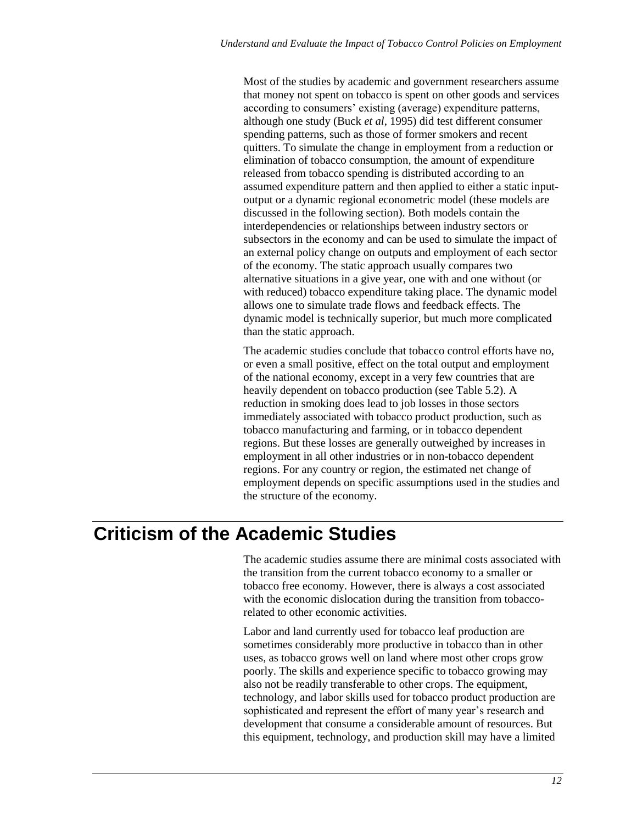Most of the studies by academic and government researchers assume that money not spent on tobacco is spent on other goods and services according to consumers' existing (average) expenditure patterns, although one study (Buck *et al*, 1995) did test different consumer spending patterns, such as those of former smokers and recent quitters. To simulate the change in employment from a reduction or elimination of tobacco consumption, the amount of expenditure released from tobacco spending is distributed according to an assumed expenditure pattern and then applied to either a static inputoutput or a dynamic regional econometric model (these models are discussed in the following section). Both models contain the interdependencies or relationships between industry sectors or subsectors in the economy and can be used to simulate the impact of an external policy change on outputs and employment of each sector of the economy. The static approach usually compares two alternative situations in a give year, one with and one without (or with reduced) tobacco expenditure taking place. The dynamic model allows one to simulate trade flows and feedback effects. The dynamic model is technically superior, but much more complicated than the static approach.

The academic studies conclude that tobacco control efforts have no, or even a small positive, effect on the total output and employment of the national economy, except in a very few countries that are heavily dependent on tobacco production (see Table 5.2). A reduction in smoking does lead to job losses in those sectors immediately associated with tobacco product production, such as tobacco manufacturing and farming, or in tobacco dependent regions. But these losses are generally outweighed by increases in employment in all other industries or in non-tobacco dependent regions. For any country or region, the estimated net change of employment depends on specific assumptions used in the studies and the structure of the economy.

## **Criticism of the Academic Studies**

The academic studies assume there are minimal costs associated with the transition from the current tobacco economy to a smaller or tobacco free economy. However, there is always a cost associated with the economic dislocation during the transition from tobaccorelated to other economic activities.

Labor and land currently used for tobacco leaf production are sometimes considerably more productive in tobacco than in other uses, as tobacco grows well on land where most other crops grow poorly. The skills and experience specific to tobacco growing may also not be readily transferable to other crops. The equipment, technology, and labor skills used for tobacco product production are sophisticated and represent the effort of many year's research and development that consume a considerable amount of resources. But this equipment, technology, and production skill may have a limited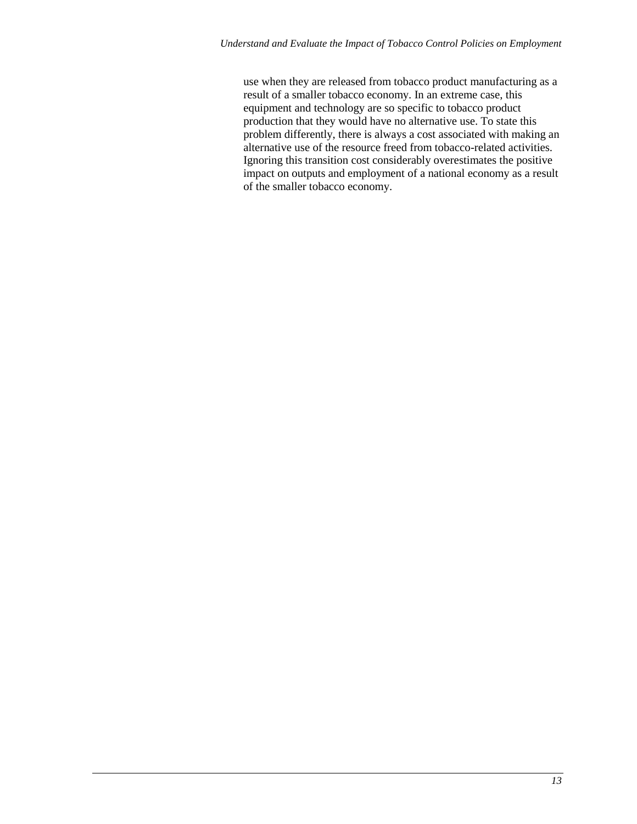use when they are released from tobacco product manufacturing as a result of a smaller tobacco economy. In an extreme case, this equipment and technology are so specific to tobacco product production that they would have no alternative use. To state this problem differently, there is always a cost associated with making an alternative use of the resource freed from tobacco-related activities. Ignoring this transition cost considerably overestimates the positive impact on outputs and employment of a national economy as a result of the smaller tobacco economy.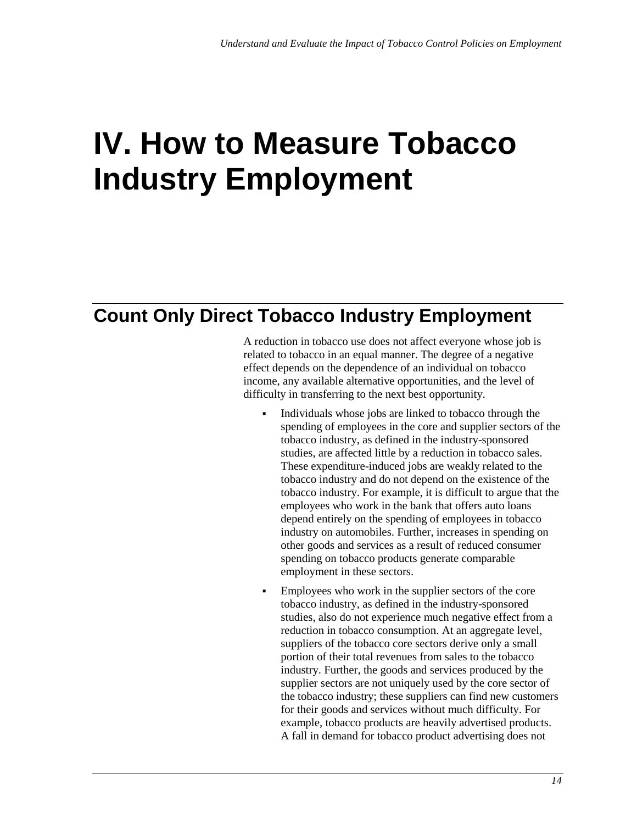# **IV. How to Measure Tobacco Industry Employment**

## **Count Only Direct Tobacco Industry Employment**

A reduction in tobacco use does not affect everyone whose job is related to tobacco in an equal manner. The degree of a negative effect depends on the dependence of an individual on tobacco income, any available alternative opportunities, and the level of difficulty in transferring to the next best opportunity.

- Individuals whose jobs are linked to tobacco through the spending of employees in the core and supplier sectors of the tobacco industry, as defined in the industry-sponsored studies, are affected little by a reduction in tobacco sales. These expenditure-induced jobs are weakly related to the tobacco industry and do not depend on the existence of the tobacco industry. For example, it is difficult to argue that the employees who work in the bank that offers auto loans depend entirely on the spending of employees in tobacco industry on automobiles. Further, increases in spending on other goods and services as a result of reduced consumer spending on tobacco products generate comparable employment in these sectors.
- Employees who work in the supplier sectors of the core tobacco industry, as defined in the industry-sponsored studies, also do not experience much negative effect from a reduction in tobacco consumption. At an aggregate level, suppliers of the tobacco core sectors derive only a small portion of their total revenues from sales to the tobacco industry. Further, the goods and services produced by the supplier sectors are not uniquely used by the core sector of the tobacco industry; these suppliers can find new customers for their goods and services without much difficulty. For example, tobacco products are heavily advertised products. A fall in demand for tobacco product advertising does not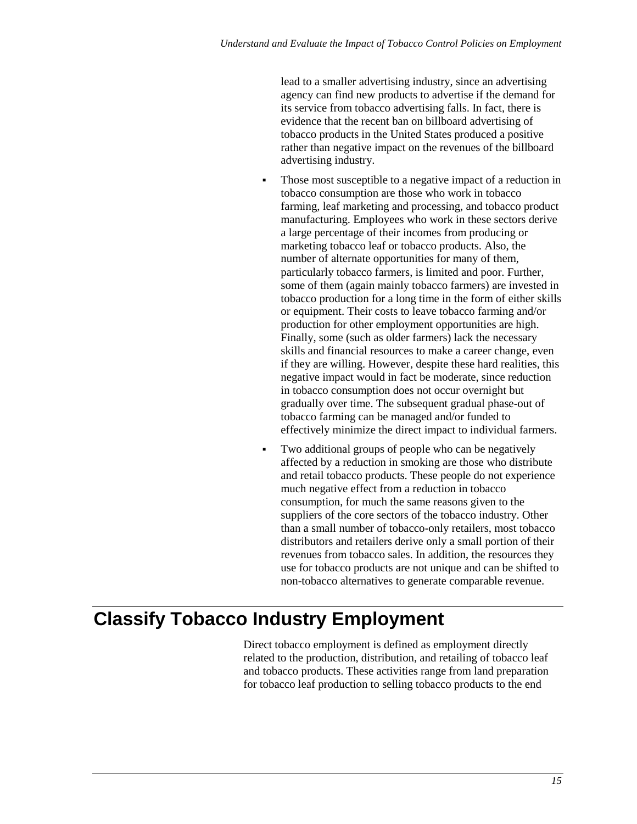lead to a smaller advertising industry, since an advertising agency can find new products to advertise if the demand for its service from tobacco advertising falls. In fact, there is evidence that the recent ban on billboard advertising of tobacco products in the United States produced a positive rather than negative impact on the revenues of the billboard advertising industry.

- Those most susceptible to a negative impact of a reduction in tobacco consumption are those who work in tobacco farming, leaf marketing and processing, and tobacco product manufacturing. Employees who work in these sectors derive a large percentage of their incomes from producing or marketing tobacco leaf or tobacco products. Also, the number of alternate opportunities for many of them, particularly tobacco farmers, is limited and poor. Further, some of them (again mainly tobacco farmers) are invested in tobacco production for a long time in the form of either skills or equipment. Their costs to leave tobacco farming and/or production for other employment opportunities are high. Finally, some (such as older farmers) lack the necessary skills and financial resources to make a career change, even if they are willing. However, despite these hard realities, this negative impact would in fact be moderate, since reduction in tobacco consumption does not occur overnight but gradually over time. The subsequent gradual phase-out of tobacco farming can be managed and/or funded to effectively minimize the direct impact to individual farmers.
- Two additional groups of people who can be negatively affected by a reduction in smoking are those who distribute and retail tobacco products. These people do not experience much negative effect from a reduction in tobacco consumption, for much the same reasons given to the suppliers of the core sectors of the tobacco industry. Other than a small number of tobacco-only retailers, most tobacco distributors and retailers derive only a small portion of their revenues from tobacco sales. In addition, the resources they use for tobacco products are not unique and can be shifted to non-tobacco alternatives to generate comparable revenue.

# **Classify Tobacco Industry Employment**

Direct tobacco employment is defined as employment directly related to the production, distribution, and retailing of tobacco leaf and tobacco products. These activities range from land preparation for tobacco leaf production to selling tobacco products to the end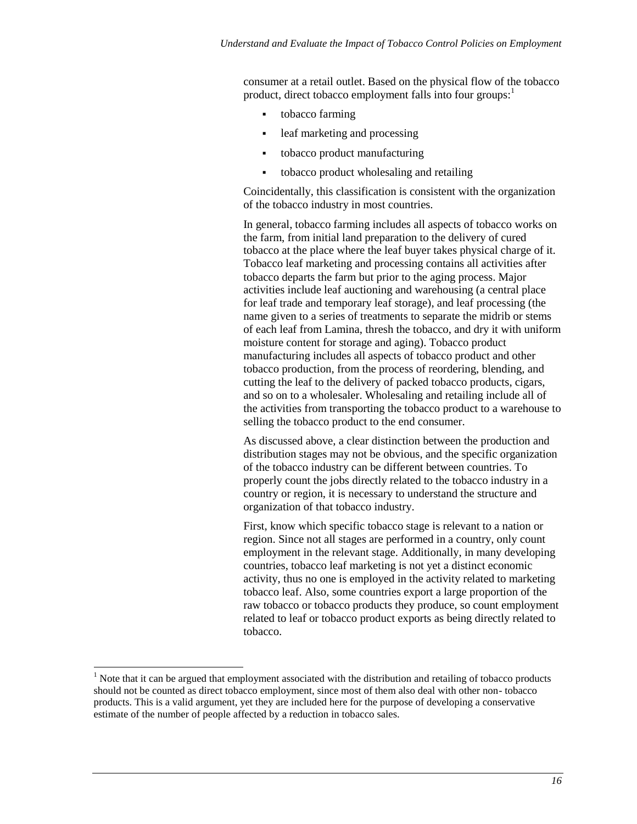consumer at a retail outlet. Based on the physical flow of the tobacco product, direct tobacco employment falls into four groups:<sup>1</sup>

- tobacco farming
- leaf marketing and processing
- tobacco product manufacturing
- tobacco product wholesaling and retailing

Coincidentally, this classification is consistent with the organization of the tobacco industry in most countries.

In general, tobacco farming includes all aspects of tobacco works on the farm, from initial land preparation to the delivery of cured tobacco at the place where the leaf buyer takes physical charge of it. Tobacco leaf marketing and processing contains all activities after tobacco departs the farm but prior to the aging process. Major activities include leaf auctioning and warehousing (a central place for leaf trade and temporary leaf storage), and leaf processing (the name given to a series of treatments to separate the midrib or stems of each leaf from Lamina, thresh the tobacco, and dry it with uniform moisture content for storage and aging). Tobacco product manufacturing includes all aspects of tobacco product and other tobacco production, from the process of reordering, blending, and cutting the leaf to the delivery of packed tobacco products, cigars, and so on to a wholesaler. Wholesaling and retailing include all of the activities from transporting the tobacco product to a warehouse to selling the tobacco product to the end consumer.

As discussed above, a clear distinction between the production and distribution stages may not be obvious, and the specific organization of the tobacco industry can be different between countries. To properly count the jobs directly related to the tobacco industry in a country or region, it is necessary to understand the structure and organization of that tobacco industry.

First, know which specific tobacco stage is relevant to a nation or region. Since not all stages are performed in a country, only count employment in the relevant stage. Additionally, in many developing countries, tobacco leaf marketing is not yet a distinct economic activity, thus no one is employed in the activity related to marketing tobacco leaf. Also, some countries export a large proportion of the raw tobacco or tobacco products they produce, so count employment related to leaf or tobacco product exports as being directly related to tobacco.

l

<sup>&</sup>lt;sup>1</sup> Note that it can be argued that employment associated with the distribution and retailing of tobacco products should not be counted as direct tobacco employment, since most of them also deal with other non- tobacco products. This is a valid argument, yet they are included here for the purpose of developing a conservative estimate of the number of people affected by a reduction in tobacco sales.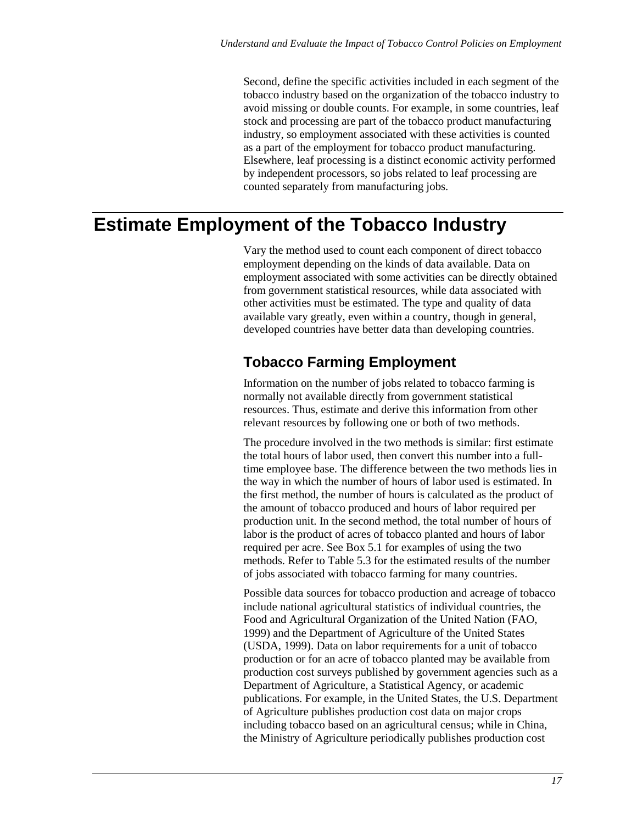Second, define the specific activities included in each segment of the tobacco industry based on the organization of the tobacco industry to avoid missing or double counts. For example, in some countries, leaf stock and processing are part of the tobacco product manufacturing industry, so employment associated with these activities is counted as a part of the employment for tobacco product manufacturing. Elsewhere, leaf processing is a distinct economic activity performed by independent processors, so jobs related to leaf processing are counted separately from manufacturing jobs.

## **Estimate Employment of the Tobacco Industry**

Vary the method used to count each component of direct tobacco employment depending on the kinds of data available. Data on employment associated with some activities can be directly obtained from government statistical resources, while data associated with other activities must be estimated. The type and quality of data available vary greatly, even within a country, though in general, developed countries have better data than developing countries.

## **Tobacco Farming Employment**

Information on the number of jobs related to tobacco farming is normally not available directly from government statistical resources. Thus, estimate and derive this information from other relevant resources by following one or both of two methods.

The procedure involved in the two methods is similar: first estimate the total hours of labor used, then convert this number into a fulltime employee base. The difference between the two methods lies in the way in which the number of hours of labor used is estimated. In the first method, the number of hours is calculated as the product of the amount of tobacco produced and hours of labor required per production unit. In the second method, the total number of hours of labor is the product of acres of tobacco planted and hours of labor required per acre. See Box 5.1 for examples of using the two methods. Refer to Table 5.3 for the estimated results of the number of jobs associated with tobacco farming for many countries.

Possible data sources for tobacco production and acreage of tobacco include national agricultural statistics of individual countries, the Food and Agricultural Organization of the United Nation (FAO, 1999) and the Department of Agriculture of the United States (USDA, 1999). Data on labor requirements for a unit of tobacco production or for an acre of tobacco planted may be available from production cost surveys published by government agencies such as a Department of Agriculture, a Statistical Agency, or academic publications. For example, in the United States, the U.S. Department of Agriculture publishes production cost data on major crops including tobacco based on an agricultural census; while in China, the Ministry of Agriculture periodically publishes production cost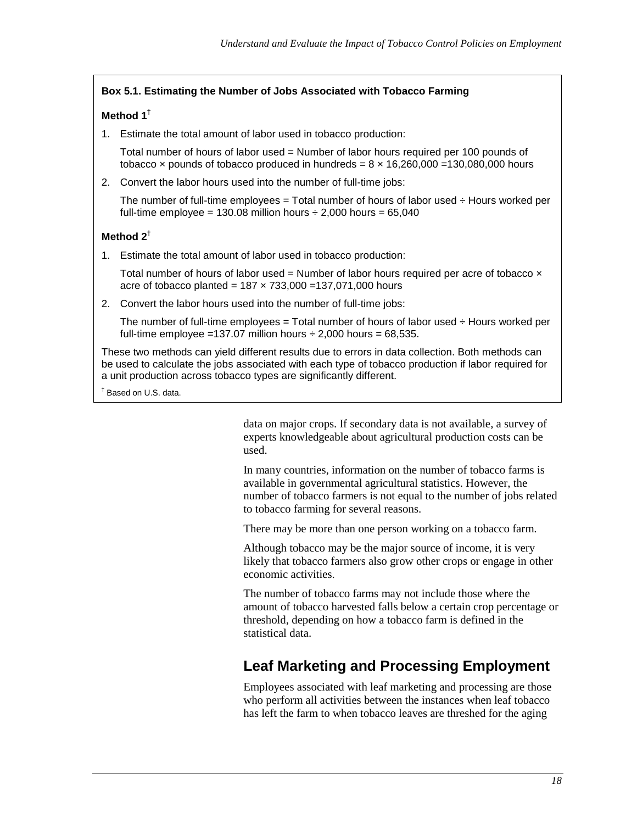#### **Box 5.1. Estimating the Number of Jobs Associated with Tobacco Farming**

#### **Method 1**†

1. Estimate the total amount of labor used in tobacco production:

Total number of hours of labor used = Number of labor hours required per 100 pounds of tobacco x pounds of tobacco produced in hundreds =  $8 \times 16,260,000 =130,080,000$  hours

2. Convert the labor hours used into the number of full-time jobs:

The number of full-time employees  $=$  Total number of hours of labor used  $\div$  Hours worked per full-time employee =  $130.08$  million hours  $\div 2,000$  hours =  $65,040$ 

#### **Method 2**†

1. Estimate the total amount of labor used in tobacco production:

Total number of hours of labor used = Number of labor hours required per acre of tobacco  $\times$ acre of tobacco planted =  $187 \times 733,000 = 137,071,000$  hours

2. Convert the labor hours used into the number of full-time jobs:

The number of full-time employees  $=$  Total number of hours of labor used  $\div$  Hours worked per full-time employee =137.07 million hours  $\div$  2,000 hours = 68,535.

These two methods can yield different results due to errors in data collection. Both methods can be used to calculate the jobs associated with each type of tobacco production if labor required for a unit production across tobacco types are significantly different.

† Based on U.S. data.

data on major crops. If secondary data is not available, a survey of experts knowledgeable about agricultural production costs can be used.

In many countries, information on the number of tobacco farms is available in governmental agricultural statistics. However, the number of tobacco farmers is not equal to the number of jobs related to tobacco farming for several reasons.

There may be more than one person working on a tobacco farm.

Although tobacco may be the major source of income, it is very likely that tobacco farmers also grow other crops or engage in other economic activities.

The number of tobacco farms may not include those where the amount of tobacco harvested falls below a certain crop percentage or threshold, depending on how a tobacco farm is defined in the statistical data.

## **Leaf Marketing and Processing Employment**

Employees associated with leaf marketing and processing are those who perform all activities between the instances when leaf tobacco has left the farm to when tobacco leaves are threshed for the aging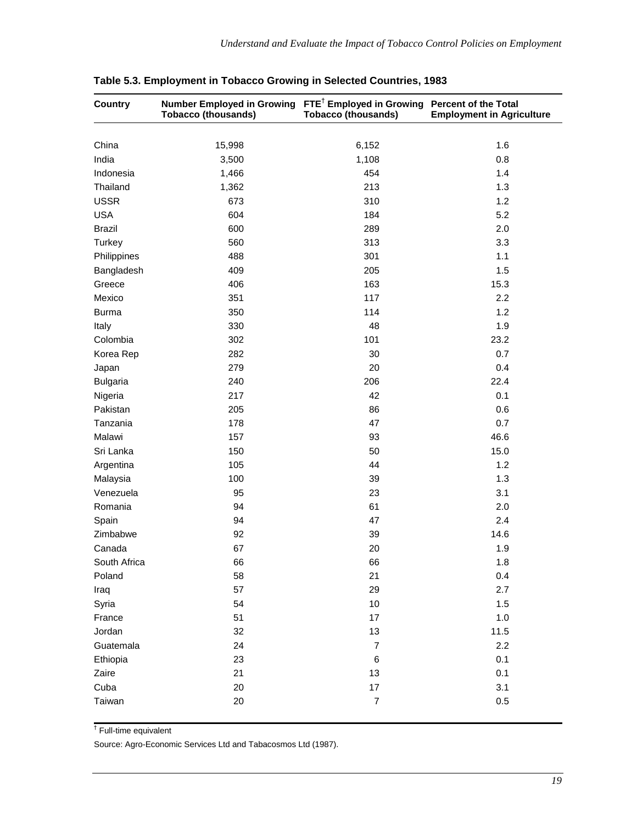| Country         | <b>Number Employed in Growing</b><br><b>Tobacco (thousands)</b> | FTE <sup>†</sup> Employed in Growing Percent of the Total<br><b>Tobacco (thousands)</b> | <b>Employment in Agriculture</b> |
|-----------------|-----------------------------------------------------------------|-----------------------------------------------------------------------------------------|----------------------------------|
|                 |                                                                 |                                                                                         | 1.6                              |
| China           | 15,998                                                          | 6,152                                                                                   |                                  |
| India           | 3,500                                                           | 1,108                                                                                   | 0.8                              |
| Indonesia       | 1,466                                                           | 454                                                                                     | 1.4                              |
| Thailand        | 1,362                                                           | 213                                                                                     | 1.3                              |
| <b>USSR</b>     | 673                                                             | 310                                                                                     | 1.2                              |
| <b>USA</b>      | 604                                                             | 184                                                                                     | 5.2                              |
| <b>Brazil</b>   | 600                                                             | 289                                                                                     | 2.0                              |
| Turkey          | 560                                                             | 313                                                                                     | 3.3                              |
| Philippines     | 488                                                             | 301                                                                                     | 1.1                              |
| Bangladesh      | 409                                                             | 205                                                                                     | 1.5                              |
| Greece          | 406                                                             | 163                                                                                     | 15.3                             |
| Mexico          | 351                                                             | 117                                                                                     | 2.2                              |
| <b>Burma</b>    | 350                                                             | 114                                                                                     | 1.2                              |
| Italy           | 330                                                             | 48                                                                                      | 1.9                              |
| Colombia        | 302                                                             | 101                                                                                     | 23.2                             |
| Korea Rep       | 282                                                             | 30                                                                                      | 0.7                              |
| Japan           | 279                                                             | 20                                                                                      | 0.4                              |
| <b>Bulgaria</b> | 240                                                             | 206                                                                                     | 22.4                             |
| Nigeria         | 217                                                             | 42                                                                                      | 0.1                              |
| Pakistan        | 205                                                             | 86                                                                                      | 0.6                              |
| Tanzania        | 178                                                             | 47                                                                                      | 0.7                              |
| Malawi          | 157                                                             | 93                                                                                      | 46.6                             |
| Sri Lanka       | 150                                                             | 50                                                                                      | 15.0                             |
| Argentina       | 105                                                             | 44                                                                                      | 1.2                              |
| Malaysia        | 100                                                             | 39                                                                                      | 1.3                              |
| Venezuela       | 95                                                              | 23                                                                                      | 3.1                              |
| Romania         | 94                                                              | 61                                                                                      | 2.0                              |
| Spain           | 94                                                              | 47                                                                                      | 2.4                              |
| Zimbabwe        | 92                                                              | 39                                                                                      | 14.6                             |
| Canada          | 67                                                              | 20                                                                                      | 1.9                              |
| South Africa    | 66                                                              | 66                                                                                      | 1.8                              |
| Poland          | 58                                                              | 21                                                                                      | 0.4                              |
| Iraq            | 57                                                              | 29                                                                                      | 2.7                              |
| Syria           | 54                                                              | 10                                                                                      | 1.5                              |
| France          | 51                                                              | 17                                                                                      | 1.0                              |
| Jordan          | 32                                                              | 13                                                                                      | 11.5                             |
| Guatemala       | 24                                                              | $\overline{7}$                                                                          | 2.2                              |
| Ethiopia        | 23                                                              | $\,6$                                                                                   | 0.1                              |
| Zaire           | 21                                                              | 13                                                                                      | 0.1                              |
| Cuba            | 20                                                              | 17                                                                                      | 3.1                              |
| Taiwan          | 20                                                              | $\overline{7}$                                                                          | 0.5                              |

† Full-time equivalent

Source: Agro-Economic Services Ltd and Tabacosmos Ltd (1987).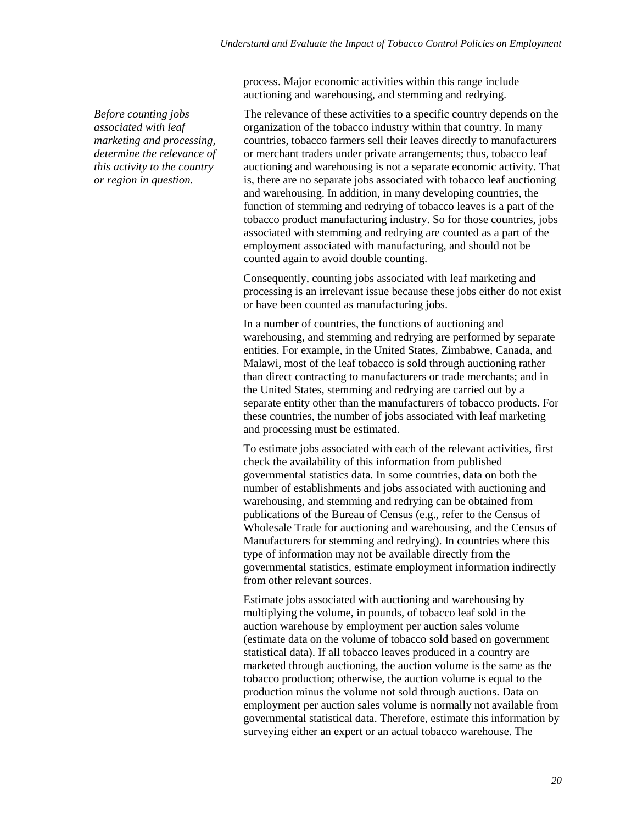process. Major economic activities within this range include auctioning and warehousing, and stemming and redrying.

*Before counting jobs associated with leaf marketing and processing, determine the relevance of this activity to the country or region in question.*

The relevance of these activities to a specific country depends on the organization of the tobacco industry within that country. In many countries, tobacco farmers sell their leaves directly to manufacturers or merchant traders under private arrangements; thus, tobacco leaf auctioning and warehousing is not a separate economic activity. That is, there are no separate jobs associated with tobacco leaf auctioning and warehousing. In addition, in many developing countries, the function of stemming and redrying of tobacco leaves is a part of the tobacco product manufacturing industry. So for those countries, jobs associated with stemming and redrying are counted as a part of the employment associated with manufacturing, and should not be counted again to avoid double counting.

Consequently, counting jobs associated with leaf marketing and processing is an irrelevant issue because these jobs either do not exist or have been counted as manufacturing jobs.

In a number of countries, the functions of auctioning and warehousing, and stemming and redrying are performed by separate entities. For example, in the United States, Zimbabwe, Canada, and Malawi, most of the leaf tobacco is sold through auctioning rather than direct contracting to manufacturers or trade merchants; and in the United States, stemming and redrying are carried out by a separate entity other than the manufacturers of tobacco products. For these countries, the number of jobs associated with leaf marketing and processing must be estimated.

To estimate jobs associated with each of the relevant activities, first check the availability of this information from published governmental statistics data. In some countries, data on both the number of establishments and jobs associated with auctioning and warehousing, and stemming and redrying can be obtained from publications of the Bureau of Census (e.g., refer to the Census of Wholesale Trade for auctioning and warehousing, and the Census of Manufacturers for stemming and redrying). In countries where this type of information may not be available directly from the governmental statistics, estimate employment information indirectly from other relevant sources.

Estimate jobs associated with auctioning and warehousing by multiplying the volume, in pounds, of tobacco leaf sold in the auction warehouse by employment per auction sales volume (estimate data on the volume of tobacco sold based on government statistical data). If all tobacco leaves produced in a country are marketed through auctioning, the auction volume is the same as the tobacco production; otherwise, the auction volume is equal to the production minus the volume not sold through auctions. Data on employment per auction sales volume is normally not available from governmental statistical data. Therefore, estimate this information by surveying either an expert or an actual tobacco warehouse. The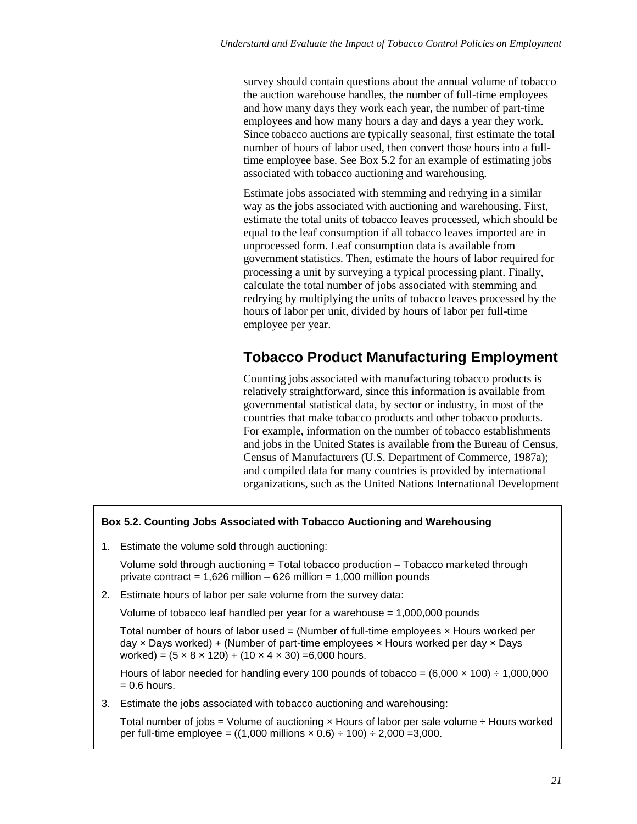survey should contain questions about the annual volume of tobacco the auction warehouse handles, the number of full-time employees and how many days they work each year, the number of part-time employees and how many hours a day and days a year they work. Since tobacco auctions are typically seasonal, first estimate the total number of hours of labor used, then convert those hours into a fulltime employee base. See Box 5.2 for an example of estimating jobs associated with tobacco auctioning and warehousing.

Estimate jobs associated with stemming and redrying in a similar way as the jobs associated with auctioning and warehousing. First, estimate the total units of tobacco leaves processed, which should be equal to the leaf consumption if all tobacco leaves imported are in unprocessed form. Leaf consumption data is available from government statistics. Then, estimate the hours of labor required for processing a unit by surveying a typical processing plant. Finally, calculate the total number of jobs associated with stemming and redrying by multiplying the units of tobacco leaves processed by the hours of labor per unit, divided by hours of labor per full-time employee per year.

## **Tobacco Product Manufacturing Employment**

Counting jobs associated with manufacturing tobacco products is relatively straightforward, since this information is available from governmental statistical data, by sector or industry, in most of the countries that make tobacco products and other tobacco products. For example, information on the number of tobacco establishments and jobs in the United States is available from the Bureau of Census, Census of Manufacturers (U.S. Department of Commerce, 1987a); and compiled data for many countries is provided by international organizations, such as the United Nations International Development

#### **Box 5.2. Counting Jobs Associated with Tobacco Auctioning and Warehousing**

1. Estimate the volume sold through auctioning:

Volume sold through auctioning = Total tobacco production – Tobacco marketed through private contract =  $1,626$  million –  $626$  million =  $1,000$  million pounds

2. Estimate hours of labor per sale volume from the survey data:

Volume of tobacco leaf handled per year for a warehouse = 1,000,000 pounds

Total number of hours of labor used  $=$  (Number of full-time employees  $\times$  Hours worked per day  $\times$  Days worked) + (Number of part-time employees  $\times$  Hours worked per day  $\times$  Days worked) =  $(5 \times 8 \times 120) + (10 \times 4 \times 30) = 6,000$  hours.

Hours of labor needed for handling every 100 pounds of tobacco =  $(6,000 \times 100) \div 1,000,000$  $= 0.6$  hours.

3. Estimate the jobs associated with tobacco auctioning and warehousing:

Total number of jobs = Volume of auctioning  $\times$  Hours of labor per sale volume  $\div$  Hours worked per full-time employee =  $((1,000 \text{ millions} \times 0.6) \div 100) \div 2,000 = 3,000$ .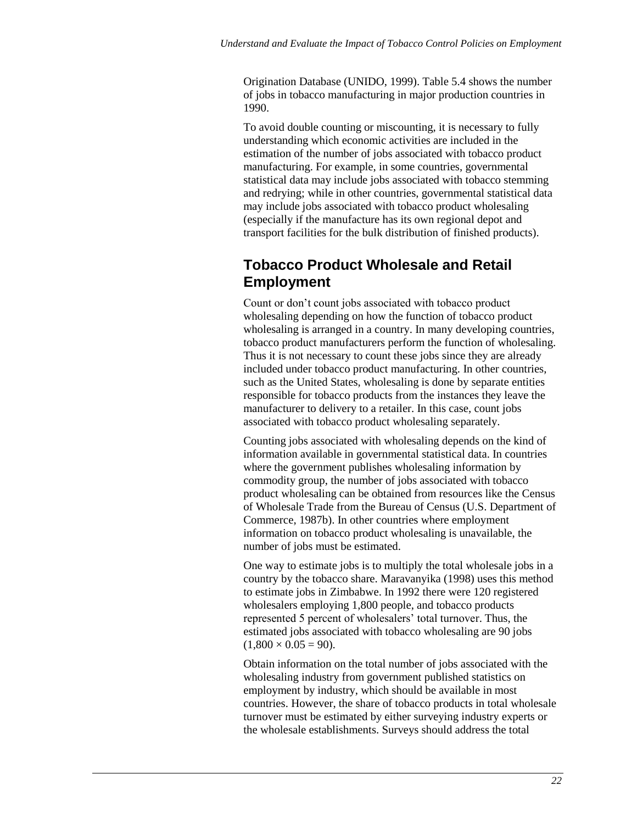Origination Database (UNIDO, 1999). Table 5.4 shows the number of jobs in tobacco manufacturing in major production countries in 1990.

To avoid double counting or miscounting, it is necessary to fully understanding which economic activities are included in the estimation of the number of jobs associated with tobacco product manufacturing. For example, in some countries, governmental statistical data may include jobs associated with tobacco stemming and redrying; while in other countries, governmental statistical data may include jobs associated with tobacco product wholesaling (especially if the manufacture has its own regional depot and transport facilities for the bulk distribution of finished products).

## **Tobacco Product Wholesale and Retail Employment**

Count or don't count jobs associated with tobacco product wholesaling depending on how the function of tobacco product wholesaling is arranged in a country. In many developing countries, tobacco product manufacturers perform the function of wholesaling. Thus it is not necessary to count these jobs since they are already included under tobacco product manufacturing. In other countries, such as the United States, wholesaling is done by separate entities responsible for tobacco products from the instances they leave the manufacturer to delivery to a retailer. In this case, count jobs associated with tobacco product wholesaling separately.

Counting jobs associated with wholesaling depends on the kind of information available in governmental statistical data. In countries where the government publishes wholesaling information by commodity group, the number of jobs associated with tobacco product wholesaling can be obtained from resources like the Census of Wholesale Trade from the Bureau of Census (U.S. Department of Commerce, 1987b). In other countries where employment information on tobacco product wholesaling is unavailable, the number of jobs must be estimated.

One way to estimate jobs is to multiply the total wholesale jobs in a country by the tobacco share. Maravanyika (1998) uses this method to estimate jobs in Zimbabwe. In 1992 there were 120 registered wholesalers employing 1,800 people, and tobacco products represented 5 percent of wholesalers' total turnover. Thus, the estimated jobs associated with tobacco wholesaling are 90 jobs  $(1,800 \times 0.05 = 90)$ .

Obtain information on the total number of jobs associated with the wholesaling industry from government published statistics on employment by industry, which should be available in most countries. However, the share of tobacco products in total wholesale turnover must be estimated by either surveying industry experts or the wholesale establishments. Surveys should address the total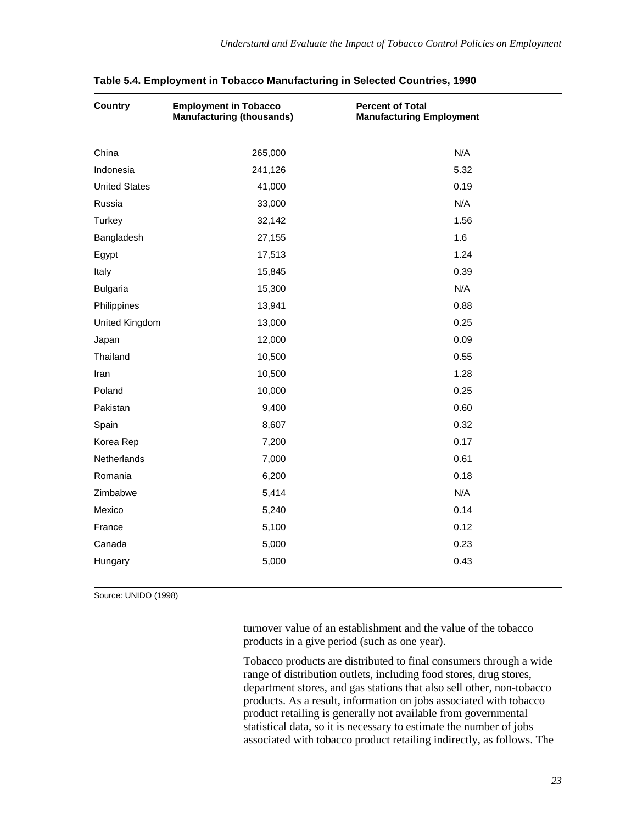| <b>Country</b>       | <b>Employment in Tobacco</b><br><b>Manufacturing (thousands)</b> | <b>Percent of Total</b><br><b>Manufacturing Employment</b> |  |
|----------------------|------------------------------------------------------------------|------------------------------------------------------------|--|
|                      |                                                                  |                                                            |  |
| China                | 265,000                                                          | N/A                                                        |  |
| Indonesia            | 241,126                                                          | 5.32                                                       |  |
| <b>United States</b> | 41,000                                                           | 0.19                                                       |  |
| Russia               | 33,000                                                           | N/A                                                        |  |
| Turkey               | 32,142                                                           | 1.56                                                       |  |
| Bangladesh           | 27,155                                                           | 1.6                                                        |  |
| Egypt                | 17,513                                                           | 1.24                                                       |  |
| Italy                | 15,845                                                           | 0.39                                                       |  |
| <b>Bulgaria</b>      | 15,300                                                           | N/A                                                        |  |
| Philippines          | 13,941                                                           | 0.88                                                       |  |
| United Kingdom       | 13,000                                                           | 0.25                                                       |  |
| Japan                | 12,000                                                           | 0.09                                                       |  |
| Thailand             | 10,500                                                           | 0.55                                                       |  |
| Iran                 | 10,500                                                           | 1.28                                                       |  |
| Poland               | 10,000                                                           | 0.25                                                       |  |
| Pakistan             | 9,400                                                            | 0.60                                                       |  |
| Spain                | 8,607                                                            | 0.32                                                       |  |
| Korea Rep            | 7,200                                                            | 0.17                                                       |  |
| Netherlands          | 7,000                                                            | 0.61                                                       |  |
| Romania              | 6,200                                                            | 0.18                                                       |  |
| Zimbabwe             | 5,414                                                            | N/A                                                        |  |
| Mexico               | 5,240                                                            | 0.14                                                       |  |
| France               | 5,100                                                            | 0.12                                                       |  |
| Canada               | 5,000                                                            | 0.23                                                       |  |
| Hungary              | 5,000                                                            | 0.43                                                       |  |

**Table 5.4. Employment in Tobacco Manufacturing in Selected Countries, 1990**

Source: UNIDO (1998)

turnover value of an establishment and the value of the tobacco products in a give period (such as one year).

Tobacco products are distributed to final consumers through a wide range of distribution outlets, including food stores, drug stores, department stores, and gas stations that also sell other, non-tobacco products. As a result, information on jobs associated with tobacco product retailing is generally not available from governmental statistical data, so it is necessary to estimate the number of jobs associated with tobacco product retailing indirectly, as follows. The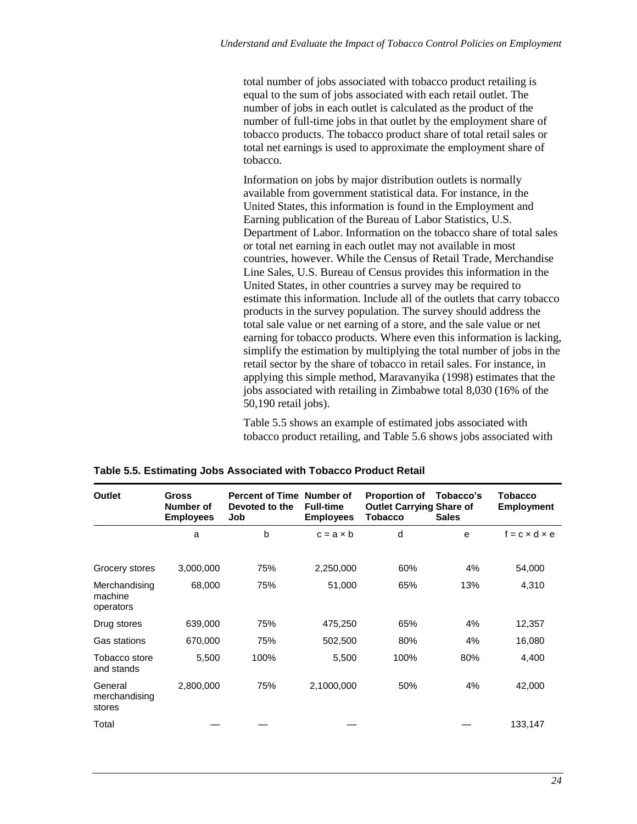total number of jobs associated with tobacco product retailing is equal to the sum of jobs associated with each retail outlet. The number of jobs in each outlet is calculated as the product of the number of full-time jobs in that outlet by the employment share of tobacco products. The tobacco product share of total retail sales or total net earnings is used to approximate the employment share of tobacco.

Information on jobs by major distribution outlets is normally available from government statistical data. For instance, in the United States, this information is found in the Employment and Earning publication of the Bureau of Labor Statistics, U.S. Department of Labor. Information on the tobacco share of total sales or total net earning in each outlet may not available in most countries, however. While the Census of Retail Trade, Merchandise Line Sales, U.S. Bureau of Census provides this information in the United States, in other countries a survey may be required to estimate this information. Include all of the outlets that carry tobacco products in the survey population. The survey should address the total sale value or net earning of a store, and the sale value or net earning for tobacco products. Where even this information is lacking, simplify the estimation by multiplying the total number of jobs in the retail sector by the share of tobacco in retail sales. For instance, in applying this simple method, Maravanyika (1998) estimates that the jobs associated with retailing in Zimbabwe total 8,030 (16% of the 50,190 retail jobs).

Table 5.5 shows an example of estimated jobs associated with tobacco product retailing, and Table 5.6 shows jobs associated with

| <b>Outlet</b>                         | <b>Gross</b><br>Number of<br><b>Employees</b> | <b>Percent of Time</b><br>Devoted to the<br>Job | Number of<br><b>Full-time</b><br><b>Employees</b> | <b>Proportion of</b><br><b>Outlet Carrying Share of</b><br><b>Tobacco</b> | Tobacco's<br><b>Sales</b> | Tobacco<br><b>Employment</b> |
|---------------------------------------|-----------------------------------------------|-------------------------------------------------|---------------------------------------------------|---------------------------------------------------------------------------|---------------------------|------------------------------|
|                                       | a                                             | b                                               | $c = a \times b$                                  | d                                                                         | e                         | $f = c \times d \times e$    |
| Grocery stores                        | 3,000,000                                     | 75%                                             | 2,250,000                                         | 60%                                                                       | 4%                        | 54,000                       |
| Merchandising<br>machine<br>operators | 68,000                                        | 75%                                             | 51,000                                            | 65%                                                                       | 13%                       | 4,310                        |
| Drug stores                           | 639,000                                       | 75%                                             | 475,250                                           | 65%                                                                       | 4%                        | 12,357                       |
| Gas stations                          | 670,000                                       | 75%                                             | 502,500                                           | 80%                                                                       | 4%                        | 16,080                       |
| Tobacco store<br>and stands           | 5,500                                         | 100%                                            | 5,500                                             | 100%                                                                      | 80%                       | 4,400                        |
| General<br>merchandising<br>stores    | 2,800,000                                     | 75%                                             | 2,1000,000                                        | 50%                                                                       | 4%                        | 42,000                       |
| Total                                 |                                               |                                                 |                                                   |                                                                           |                           | 133,147                      |

**Table 5.5. Estimating Jobs Associated with Tobacco Product Retail**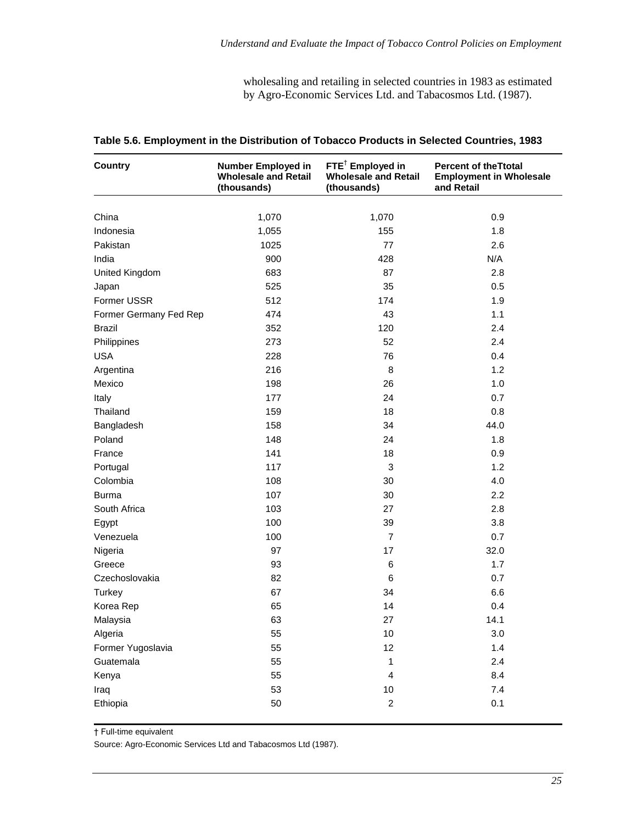wholesaling and retailing in selected countries in 1983 as estimated by Agro-Economic Services Ltd. and Tabacosmos Ltd. (1987).

| <b>Country</b>         | $FTE^{\dagger}$ Employed in<br><b>Number Employed in</b><br><b>Wholesale and Retail</b><br><b>Wholesale and Retail</b><br>(thousands)<br>(thousands) |                         | <b>Percent of theTtotal</b><br><b>Employment in Wholesale</b><br>and Retail |
|------------------------|------------------------------------------------------------------------------------------------------------------------------------------------------|-------------------------|-----------------------------------------------------------------------------|
|                        |                                                                                                                                                      |                         |                                                                             |
| China                  | 1,070                                                                                                                                                | 1,070                   | 0.9                                                                         |
| Indonesia              | 1,055                                                                                                                                                | 155                     | 1.8                                                                         |
| Pakistan               | 1025                                                                                                                                                 | 77                      | 2.6                                                                         |
| India                  | 900                                                                                                                                                  | 428                     | N/A                                                                         |
| United Kingdom         | 683                                                                                                                                                  | 87                      | 2.8                                                                         |
| Japan                  | 525                                                                                                                                                  | 35                      | 0.5                                                                         |
| Former USSR            | 512                                                                                                                                                  | 174                     | 1.9                                                                         |
| Former Germany Fed Rep | 474                                                                                                                                                  | 43                      | 1.1                                                                         |
| Brazil                 | 352                                                                                                                                                  | 120                     | 2.4                                                                         |
| Philippines            | 273                                                                                                                                                  | 52                      | 2.4                                                                         |
| <b>USA</b>             | 228                                                                                                                                                  | 76                      | 0.4                                                                         |
| Argentina              | 216                                                                                                                                                  | 8                       | 1.2                                                                         |
| Mexico                 | 198                                                                                                                                                  | 26                      | 1.0                                                                         |
| Italy                  | 177                                                                                                                                                  | 24                      | 0.7                                                                         |
| Thailand               | 159                                                                                                                                                  | 18                      | 0.8                                                                         |
| Bangladesh             | 158                                                                                                                                                  | 34                      | 44.0                                                                        |
| Poland                 | 148                                                                                                                                                  | 24                      | 1.8                                                                         |
| France                 | 141                                                                                                                                                  | 18                      | 0.9                                                                         |
| Portugal               | 117                                                                                                                                                  | $\mathbf{3}$            | 1.2                                                                         |
| Colombia               | 108                                                                                                                                                  | 30                      | 4.0                                                                         |
| <b>Burma</b>           | 107                                                                                                                                                  | 30                      | 2.2                                                                         |
| South Africa           | 103                                                                                                                                                  | 27                      | 2.8                                                                         |
| Egypt                  | 100                                                                                                                                                  | 39                      | 3.8                                                                         |
| Venezuela              | 100                                                                                                                                                  | $\overline{7}$          | 0.7                                                                         |
| Nigeria                | 97                                                                                                                                                   | 17                      | 32.0                                                                        |
| Greece                 | 93                                                                                                                                                   | 6                       | 1.7                                                                         |
| Czechoslovakia         | 82                                                                                                                                                   | 6                       | 0.7                                                                         |
| Turkey                 | 67                                                                                                                                                   | 34                      | 6.6                                                                         |
| Korea Rep              | 65                                                                                                                                                   | 14                      | 0.4                                                                         |
| Malaysia               | 63                                                                                                                                                   | 27                      | 14.1                                                                        |
| Algeria                | 55                                                                                                                                                   | 10                      | 3.0                                                                         |
| Former Yugoslavia      | 55                                                                                                                                                   | 12                      | 1.4                                                                         |
| Guatemala              | 55                                                                                                                                                   | 1                       | 2.4                                                                         |
| Kenya                  | 55                                                                                                                                                   | $\overline{\mathbf{4}}$ | 8.4                                                                         |
| Iraq                   | 53                                                                                                                                                   | $10$                    | 7.4                                                                         |
| Ethiopia               | 50                                                                                                                                                   | $\overline{c}$          | 0.1                                                                         |

#### **Table 5.6. Employment in the Distribution of Tobacco Products in Selected Countries, 1983**

† Full-time equivalent

Source: Agro-Economic Services Ltd and Tabacosmos Ltd (1987).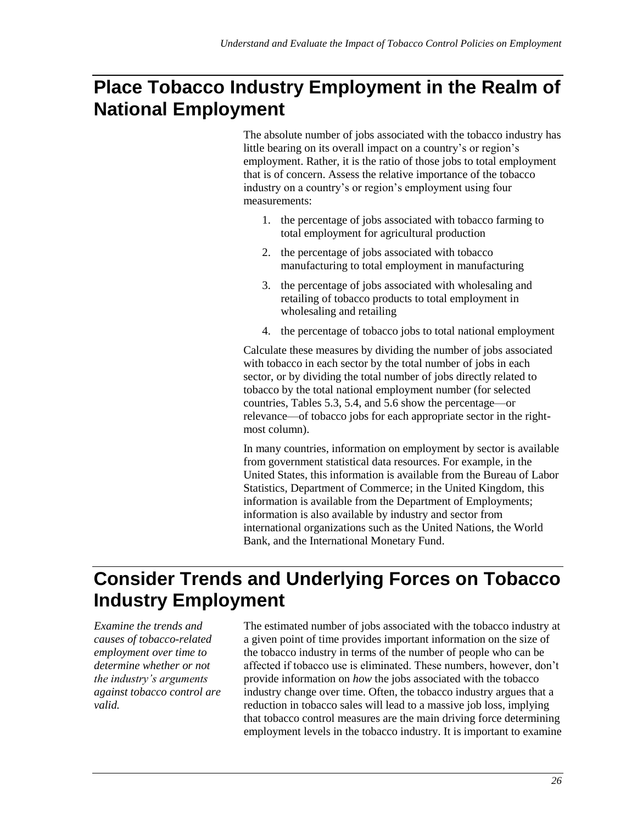# **Place Tobacco Industry Employment in the Realm of National Employment**

The absolute number of jobs associated with the tobacco industry has little bearing on its overall impact on a country's or region's employment. Rather, it is the ratio of those jobs to total employment that is of concern. Assess the relative importance of the tobacco industry on a country's or region's employment using four measurements:

- 1. the percentage of jobs associated with tobacco farming to total employment for agricultural production
- 2. the percentage of jobs associated with tobacco manufacturing to total employment in manufacturing
- 3. the percentage of jobs associated with wholesaling and retailing of tobacco products to total employment in wholesaling and retailing
- 4. the percentage of tobacco jobs to total national employment

Calculate these measures by dividing the number of jobs associated with tobacco in each sector by the total number of jobs in each sector, or by dividing the total number of jobs directly related to tobacco by the total national employment number (for selected countries, Tables 5.3, 5.4, and 5.6 show the percentage—or relevance—of tobacco jobs for each appropriate sector in the rightmost column).

In many countries, information on employment by sector is available from government statistical data resources. For example, in the United States, this information is available from the Bureau of Labor Statistics, Department of Commerce; in the United Kingdom, this information is available from the Department of Employments; information is also available by industry and sector from international organizations such as the United Nations, the World Bank, and the International Monetary Fund.

# **Consider Trends and Underlying Forces on Tobacco Industry Employment**

*Examine the trends and causes of tobacco-related employment over time to determine whether or not the industry's arguments against tobacco control are valid.*

The estimated number of jobs associated with the tobacco industry at a given point of time provides important information on the size of the tobacco industry in terms of the number of people who can be affected if tobacco use is eliminated. These numbers, however, don't provide information on *how* the jobs associated with the tobacco industry change over time. Often, the tobacco industry argues that a reduction in tobacco sales will lead to a massive job loss, implying that tobacco control measures are the main driving force determining employment levels in the tobacco industry. It is important to examine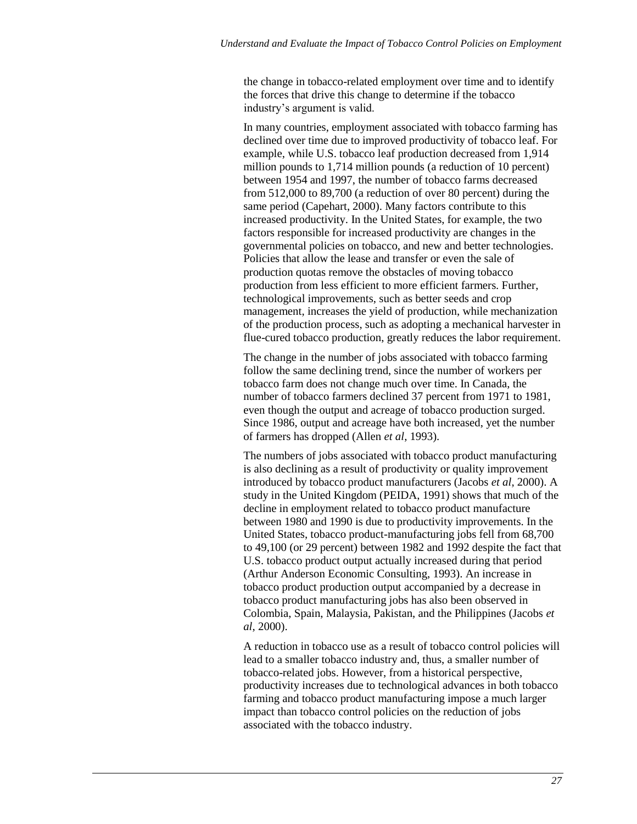the change in tobacco-related employment over time and to identify the forces that drive this change to determine if the tobacco industry's argument is valid.

In many countries, employment associated with tobacco farming has declined over time due to improved productivity of tobacco leaf. For example, while U.S. tobacco leaf production decreased from 1,914 million pounds to 1,714 million pounds (a reduction of 10 percent) between 1954 and 1997, the number of tobacco farms decreased from 512,000 to 89,700 (a reduction of over 80 percent) during the same period (Capehart, 2000). Many factors contribute to this increased productivity. In the United States, for example, the two factors responsible for increased productivity are changes in the governmental policies on tobacco, and new and better technologies. Policies that allow the lease and transfer or even the sale of production quotas remove the obstacles of moving tobacco production from less efficient to more efficient farmers. Further, technological improvements, such as better seeds and crop management, increases the yield of production, while mechanization of the production process, such as adopting a mechanical harvester in flue-cured tobacco production, greatly reduces the labor requirement.

The change in the number of jobs associated with tobacco farming follow the same declining trend, since the number of workers per tobacco farm does not change much over time. In Canada, the number of tobacco farmers declined 37 percent from 1971 to 1981, even though the output and acreage of tobacco production surged. Since 1986, output and acreage have both increased, yet the number of farmers has dropped (Allen *et al*, 1993).

The numbers of jobs associated with tobacco product manufacturing is also declining as a result of productivity or quality improvement introduced by tobacco product manufacturers (Jacobs *et al*, 2000). A study in the United Kingdom (PEIDA, 1991) shows that much of the decline in employment related to tobacco product manufacture between 1980 and 1990 is due to productivity improvements. In the United States, tobacco product-manufacturing jobs fell from 68,700 to 49,100 (or 29 percent) between 1982 and 1992 despite the fact that U.S. tobacco product output actually increased during that period (Arthur Anderson Economic Consulting, 1993). An increase in tobacco product production output accompanied by a decrease in tobacco product manufacturing jobs has also been observed in Colombia, Spain, Malaysia, Pakistan, and the Philippines (Jacobs *et al*, 2000).

A reduction in tobacco use as a result of tobacco control policies will lead to a smaller tobacco industry and, thus, a smaller number of tobacco-related jobs. However, from a historical perspective, productivity increases due to technological advances in both tobacco farming and tobacco product manufacturing impose a much larger impact than tobacco control policies on the reduction of jobs associated with the tobacco industry.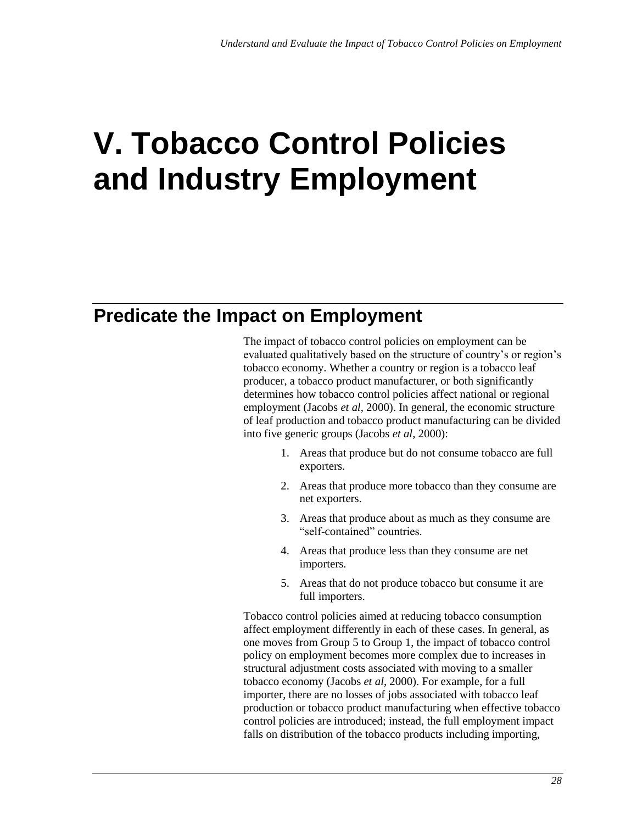# **V. Tobacco Control Policies and Industry Employment**

## **Predicate the Impact on Employment**

The impact of tobacco control policies on employment can be evaluated qualitatively based on the structure of country's or region's tobacco economy. Whether a country or region is a tobacco leaf producer, a tobacco product manufacturer, or both significantly determines how tobacco control policies affect national or regional employment (Jacobs *et al*, 2000). In general, the economic structure of leaf production and tobacco product manufacturing can be divided into five generic groups (Jacobs *et al*, 2000):

- 1. Areas that produce but do not consume tobacco are full exporters.
- 2. Areas that produce more tobacco than they consume are net exporters.
- 3. Areas that produce about as much as they consume are "self-contained" countries.
- 4. Areas that produce less than they consume are net importers.
- 5. Areas that do not produce tobacco but consume it are full importers.

Tobacco control policies aimed at reducing tobacco consumption affect employment differently in each of these cases. In general, as one moves from Group 5 to Group 1, the impact of tobacco control policy on employment becomes more complex due to increases in structural adjustment costs associated with moving to a smaller tobacco economy (Jacobs *et al*, 2000). For example, for a full importer, there are no losses of jobs associated with tobacco leaf production or tobacco product manufacturing when effective tobacco control policies are introduced; instead, the full employment impact falls on distribution of the tobacco products including importing,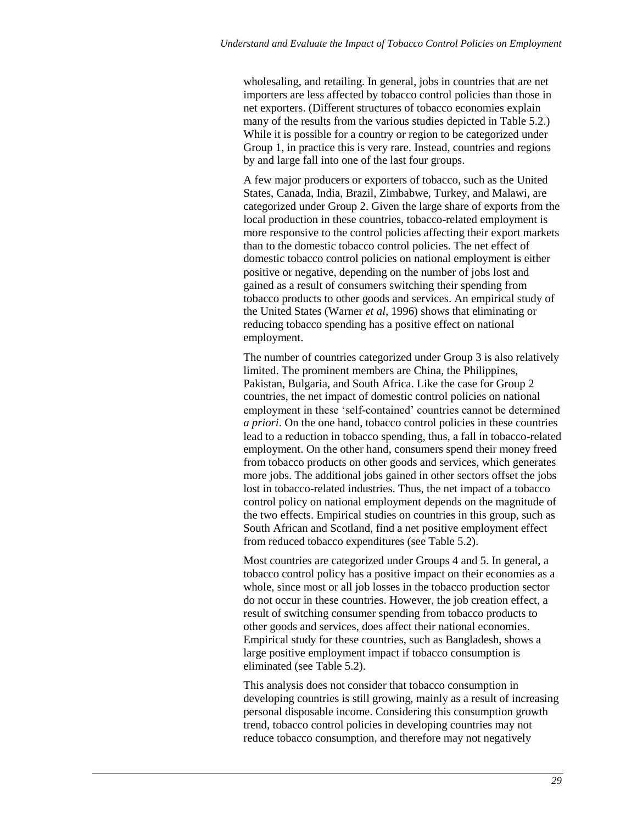wholesaling, and retailing. In general, jobs in countries that are net importers are less affected by tobacco control policies than those in net exporters. (Different structures of tobacco economies explain many of the results from the various studies depicted in Table 5.2.) While it is possible for a country or region to be categorized under Group 1, in practice this is very rare. Instead, countries and regions by and large fall into one of the last four groups.

A few major producers or exporters of tobacco, such as the United States, Canada, India, Brazil, Zimbabwe, Turkey, and Malawi, are categorized under Group 2. Given the large share of exports from the local production in these countries, tobacco-related employment is more responsive to the control policies affecting their export markets than to the domestic tobacco control policies. The net effect of domestic tobacco control policies on national employment is either positive or negative, depending on the number of jobs lost and gained as a result of consumers switching their spending from tobacco products to other goods and services. An empirical study of the United States (Warner *et al*, 1996) shows that eliminating or reducing tobacco spending has a positive effect on national employment.

The number of countries categorized under Group 3 is also relatively limited. The prominent members are China, the Philippines, Pakistan, Bulgaria, and South Africa. Like the case for Group 2 countries, the net impact of domestic control policies on national employment in these 'self-contained' countries cannot be determined *a priori*. On the one hand, tobacco control policies in these countries lead to a reduction in tobacco spending, thus, a fall in tobacco-related employment. On the other hand, consumers spend their money freed from tobacco products on other goods and services, which generates more jobs. The additional jobs gained in other sectors offset the jobs lost in tobacco-related industries. Thus, the net impact of a tobacco control policy on national employment depends on the magnitude of the two effects. Empirical studies on countries in this group, such as South African and Scotland, find a net positive employment effect from reduced tobacco expenditures (see Table 5.2).

Most countries are categorized under Groups 4 and 5. In general, a tobacco control policy has a positive impact on their economies as a whole, since most or all job losses in the tobacco production sector do not occur in these countries. However, the job creation effect, a result of switching consumer spending from tobacco products to other goods and services, does affect their national economies. Empirical study for these countries, such as Bangladesh, shows a large positive employment impact if tobacco consumption is eliminated (see Table 5.2).

This analysis does not consider that tobacco consumption in developing countries is still growing, mainly as a result of increasing personal disposable income. Considering this consumption growth trend, tobacco control policies in developing countries may not reduce tobacco consumption, and therefore may not negatively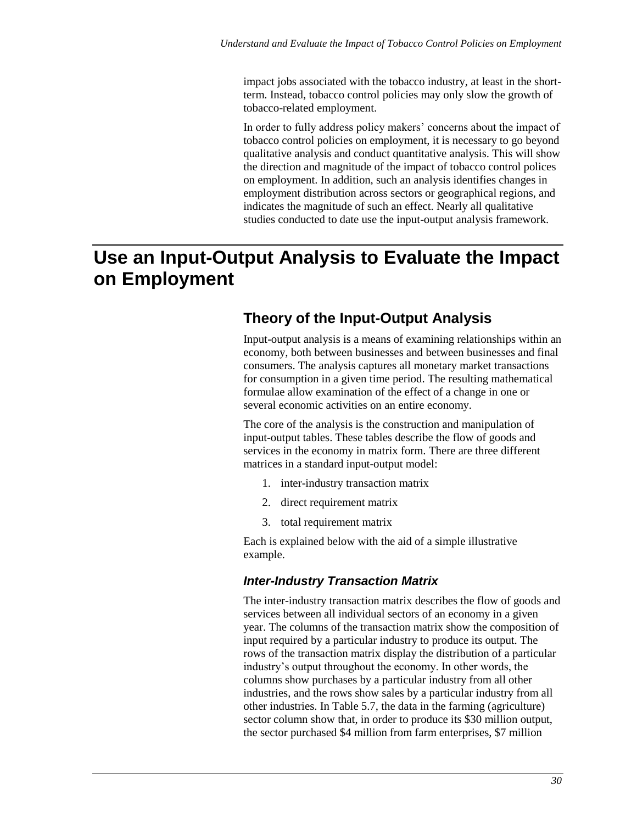impact jobs associated with the tobacco industry, at least in the shortterm. Instead, tobacco control policies may only slow the growth of tobacco-related employment.

In order to fully address policy makers' concerns about the impact of tobacco control policies on employment, it is necessary to go beyond qualitative analysis and conduct quantitative analysis. This will show the direction and magnitude of the impact of tobacco control polices on employment. In addition, such an analysis identifies changes in employment distribution across sectors or geographical regions, and indicates the magnitude of such an effect. Nearly all qualitative studies conducted to date use the input-output analysis framework.

# **Use an Input-Output Analysis to Evaluate the Impact on Employment**

### **Theory of the Input-Output Analysis**

Input-output analysis is a means of examining relationships within an economy, both between businesses and between businesses and final consumers. The analysis captures all monetary market transactions for consumption in a given time period. The resulting mathematical formulae allow examination of the effect of a change in one or several economic activities on an entire economy.

The core of the analysis is the construction and manipulation of input-output tables. These tables describe the flow of goods and services in the economy in matrix form. There are three different matrices in a standard input-output model:

- 1. inter-industry transaction matrix
- 2. direct requirement matrix
- 3. total requirement matrix

Each is explained below with the aid of a simple illustrative example.

#### *Inter-Industry Transaction Matrix*

The inter-industry transaction matrix describes the flow of goods and services between all individual sectors of an economy in a given year. The columns of the transaction matrix show the composition of input required by a particular industry to produce its output. The rows of the transaction matrix display the distribution of a particular industry's output throughout the economy. In other words, the columns show purchases by a particular industry from all other industries, and the rows show sales by a particular industry from all other industries. In Table 5.7, the data in the farming (agriculture) sector column show that, in order to produce its \$30 million output, the sector purchased \$4 million from farm enterprises, \$7 million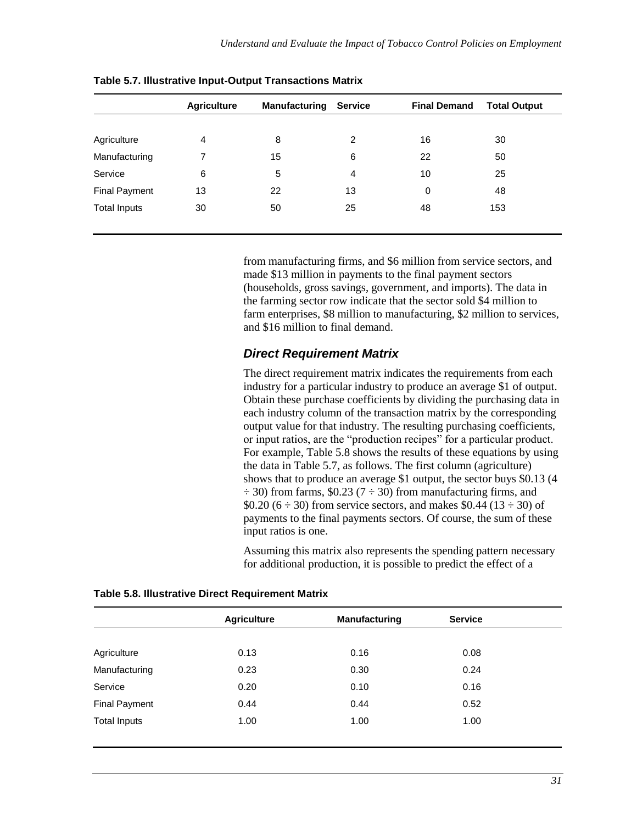|                      | <b>Agriculture</b> | Manufacturing | <b>Service</b> | <b>Final Demand</b> | <b>Total Output</b> |
|----------------------|--------------------|---------------|----------------|---------------------|---------------------|
|                      |                    |               |                |                     |                     |
| Agriculture          | 4                  | 8             | 2              | 16                  | 30                  |
| Manufacturing        | 7                  | 15            | 6              | 22                  | 50                  |
| Service              | 6                  | 5             | $\overline{4}$ | 10                  | 25                  |
| <b>Final Payment</b> | 13                 | 22            | 13             | 0                   | 48                  |
| <b>Total Inputs</b>  | 30                 | 50            | 25             | 48                  | 153                 |

**Table 5.7. Illustrative Input-Output Transactions Matrix**

from manufacturing firms, and \$6 million from service sectors, and made \$13 million in payments to the final payment sectors (households, gross savings, government, and imports). The data in the farming sector row indicate that the sector sold \$4 million to farm enterprises, \$8 million to manufacturing, \$2 million to services, and \$16 million to final demand.

#### *Direct Requirement Matrix*

The direct requirement matrix indicates the requirements from each industry for a particular industry to produce an average \$1 of output. Obtain these purchase coefficients by dividing the purchasing data in each industry column of the transaction matrix by the corresponding output value for that industry. The resulting purchasing coefficients, or input ratios, are the "production recipes" for a particular product. For example, Table 5.8 shows the results of these equations by using the data in Table 5.7, as follows. The first column (agriculture) shows that to produce an average \$1 output, the sector buys \$0.13 (4  $\div$  30) from farms, \$0.23 (7  $\div$  30) from manufacturing firms, and \$0.20 (6  $\div$  30) from service sectors, and makes \$0.44 (13  $\div$  30) of payments to the final payments sectors. Of course, the sum of these input ratios is one.

Assuming this matrix also represents the spending pattern necessary for additional production, it is possible to predict the effect of a

|                      | <b>Agriculture</b> | <b>Manufacturing</b> | <b>Service</b> |  |
|----------------------|--------------------|----------------------|----------------|--|
|                      |                    |                      |                |  |
| Agriculture          | 0.13               | 0.16                 | 0.08           |  |
| Manufacturing        | 0.23               | 0.30                 | 0.24           |  |
| Service              | 0.20               | 0.10                 | 0.16           |  |
| <b>Final Payment</b> | 0.44               | 0.44                 | 0.52           |  |
| <b>Total Inputs</b>  | 1.00               | 1.00                 | 1.00           |  |
|                      |                    |                      |                |  |

**Table 5.8. Illustrative Direct Requirement Matrix**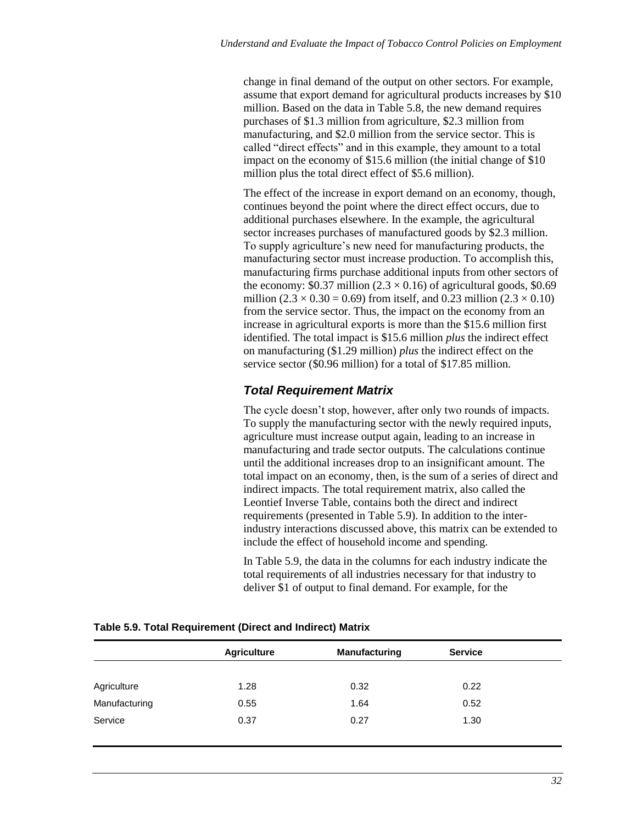change in final demand of the output on other sectors. For example, assume that export demand for agricultural products increases by \$10 million. Based on the data in Table 5.8, the new demand requires purchases of \$1.3 million from agriculture, \$2.3 million from manufacturing, and \$2.0 million from the service sector. This is called "direct effects" and in this example, they amount to a total impact on the economy of \$15.6 million (the initial change of \$10 million plus the total direct effect of \$5.6 million).

The effect of the increase in export demand on an economy, though, continues beyond the point where the direct effect occurs, due to additional purchases elsewhere. In the example, the agricultural sector increases purchases of manufactured goods by \$2.3 million. To supply agriculture's new need for manufacturing products, the manufacturing sector must increase production. To accomplish this, manufacturing firms purchase additional inputs from other sectors of the economy: \$0.37 million (2.3  $\times$  0.16) of agricultural goods, \$0.69 million (2.3  $\times$  0.30 = 0.69) from itself, and 0.23 million (2.3  $\times$  0.10) from the service sector. Thus, the impact on the economy from an increase in agricultural exports is more than the \$15.6 million first identified. The total impact is \$15.6 million *plus* the indirect effect on manufacturing (\$1.29 million) *plus* the indirect effect on the service sector (\$0.96 million) for a total of \$17.85 million.

#### *Total Requirement Matrix*

The cycle doesn't stop, however, after only two rounds of impacts. To supply the manufacturing sector with the newly required inputs, agriculture must increase output again, leading to an increase in manufacturing and trade sector outputs. The calculations continue until the additional increases drop to an insignificant amount. The total impact on an economy, then, is the sum of a series of direct and indirect impacts. The total requirement matrix, also called the Leontief Inverse Table, contains both the direct and indirect requirements (presented in Table 5.9). In addition to the interindustry interactions discussed above, this matrix can be extended to include the effect of household income and spending.

In Table 5.9, the data in the columns for each industry indicate the total requirements of all industries necessary for that industry to deliver \$1 of output to final demand. For example, for the

|               | <b>Agriculture</b> | <b>Manufacturing</b> | <b>Service</b> |
|---------------|--------------------|----------------------|----------------|
|               |                    |                      |                |
| Agriculture   | 1.28               | 0.32                 | 0.22           |
| Manufacturing | 0.55               | 1.64                 | 0.52           |
| Service       | 0.37               | 0.27                 | 1.30           |

**Table 5.9. Total Requirement (Direct and Indirect) Matrix**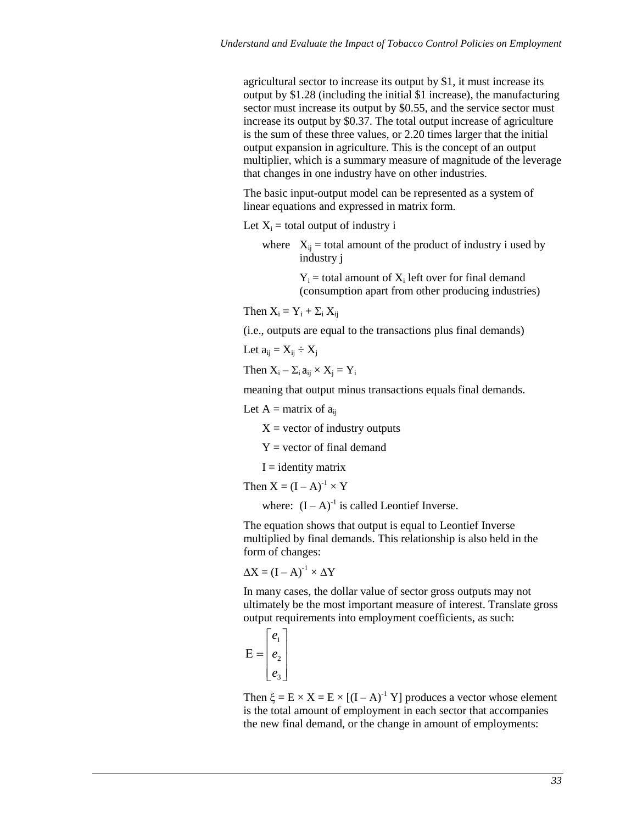agricultural sector to increase its output by \$1, it must increase its output by \$1.28 (including the initial \$1 increase), the manufacturing sector must increase its output by \$0.55, and the service sector must increase its output by \$0.37. The total output increase of agriculture is the sum of these three values, or 2.20 times larger that the initial output expansion in agriculture. This is the concept of an output multiplier, which is a summary measure of magnitude of the leverage that changes in one industry have on other industries.

The basic input-output model can be represented as a system of linear equations and expressed in matrix form.

Let  $X_i$  = total output of industry i

where  $X_{ij}$  = total amount of the product of industry i used by industry j

> $Y_i$  = total amount of  $X_i$  left over for final demand (consumption apart from other producing industries)

Then  $X_i = Y_i + \Sigma_i X_{ii}$ 

(i.e., outputs are equal to the transactions plus final demands)

Let  $a_{ii} = X_{ii} \div X_i$ 

Then  $X_i - \Sigma_i a_{ii} \times X_i = Y_i$ 

meaning that output minus transactions equals final demands.

Let  $A =$  matrix of  $a_{ii}$ 

 $X =$  vector of industry outputs

 $Y = vector$  of final demand

 $I =$  identity matrix

Then  $X = (I - A)^{-1} \times Y$ 

where:  $(I - A)^{-1}$  is called Leontief Inverse.

The equation shows that output is equal to Leontief Inverse multiplied by final demands. This relationship is also held in the form of changes:

 $\Delta X = (I - A)^{-1} \times \Delta Y$ 

In many cases, the dollar value of sector gross outputs may not ultimately be the most important measure of interest. Translate gross output requirements into employment coefficients, as such:

$$
E = \begin{bmatrix} e_1 \\ e_2 \\ e_3 \end{bmatrix}
$$

Then  $\xi = E \times X = E \times [(I - A)^{-1} Y]$  produces a vector whose element is the total amount of employment in each sector that accompanies the new final demand, or the change in amount of employments: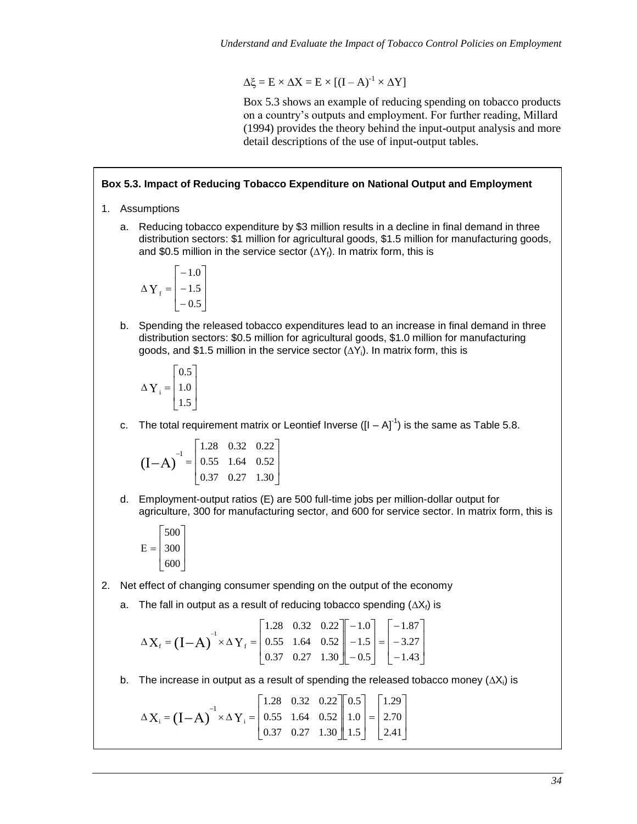$\Delta \xi = E \times \Delta X = E \times [(I - A)^{-1} \times \Delta Y]$ 

Box 5.3 shows an example of reducing spending on tobacco products on a country's outputs and employment. For further reading, Millard (1994) provides the theory behind the input-output analysis and more detail descriptions of the use of input-output tables.

#### **Box 5.3. Impact of Reducing Tobacco Expenditure on National Output and Employment**

- 1. Assumptions
	- a. Reducing tobacco expenditure by \$3 million results in a decline in final demand in three distribution sectors: \$1 million for agricultural goods, \$1.5 million for manufacturing goods, and \$0.5 million in the service sector  $(\Delta Y_f)$ . In matrix form, this is

$$
\Delta \mathbf{Y}_{\text{f}} = \begin{bmatrix} -1.0 \\ -1.5 \\ -0.5 \end{bmatrix}
$$

b. Spending the released tobacco expenditures lead to an increase in final demand in three distribution sectors: \$0.5 million for agricultural goods, \$1.0 million for manufacturing goods, and \$1.5 million in the service sector  $(\Delta Y_i)$ . In matrix form, this is

$$
\Delta \mathbf{Y}_{i} = \begin{bmatrix} 0.5\\1.0\\1.5 \end{bmatrix}
$$

c. The total requirement matrix or Leontief Inverse ( $[I - A]^{-1}$ ) is the same as Table 5.8.

 $\overline{\phantom{a}}$  $\overline{\phantom{a}}$ J  $\overline{\phantom{a}}$  $\mathsf{L}$  $\mathbf{r}$ L  $\mathbf{r}$  $I-A)^{-1} =$ 0.37 0.27 1.30 0.55 1.64 0.52 1.28 0.32 0.22  $(I-A)^{-1}$ 

d. Employment-output ratios (E) are 500 full-time jobs per million-dollar output for agriculture, 300 for manufacturing sector, and 600 for service sector. In matrix form, this is

$$
E = \begin{bmatrix} 500 \\ 300 \\ 600 \end{bmatrix}
$$

- 2. Net effect of changing consumer spending on the output of the economy
	- a. The fall in output as a result of reducing tobacco spending  $(\Delta X_f)$  is

 $\overline{\phantom{a}}$  $\overline{\phantom{a}}$ ┙  $\overline{\phantom{a}}$  $\mathsf{L}$  $\mathsf{L}$ L  $\mathbf{r}$  $\overline{\phantom{a}}$  $\overline{\phantom{a}}$  $\overline{\phantom{a}}$  $\overline{\phantom{a}}$  $\mathsf{L}$  $\mathbf{r}$ L  $\overline{a}$  $\overline{\phantom{a}}$  $\overline{\phantom{a}}$ 」  $\overline{\phantom{a}}$  $\mathsf{L}$  $\mathbf{r}$ L  $\overline{a}$  $X_f = (I - A) \times \Delta Y$ - $\overline{a}$  $\overline{a}$  $=$  $\overline{a}$  $\overline{a}$  $\overline{a}$  $\Delta X_f = (I - A)^{-1} \times \Delta Y_f =$ 1.43 3.27 1.87 0.5 1.5 1.0 0.37 0.27 1.30 0.55 1.64 0.52 1.28 0.32 0.22 f  $f_{\rm f} = (I - A)^{-1}$ 

b. The increase in output as a result of spending the released tobacco money  $(\Delta X_i)$  is

$$
\Delta X_{i} = (I - A)^{-1} \times \Delta Y_{i} = \begin{bmatrix} 1.28 & 0.32 & 0.22 \\ 0.55 & 1.64 & 0.52 \\ 0.37 & 0.27 & 1.30 \end{bmatrix} \begin{bmatrix} 0.5 \\ 1.0 \\ 1.5 \end{bmatrix} = \begin{bmatrix} 1.29 \\ 2.70 \\ 2.41 \end{bmatrix}
$$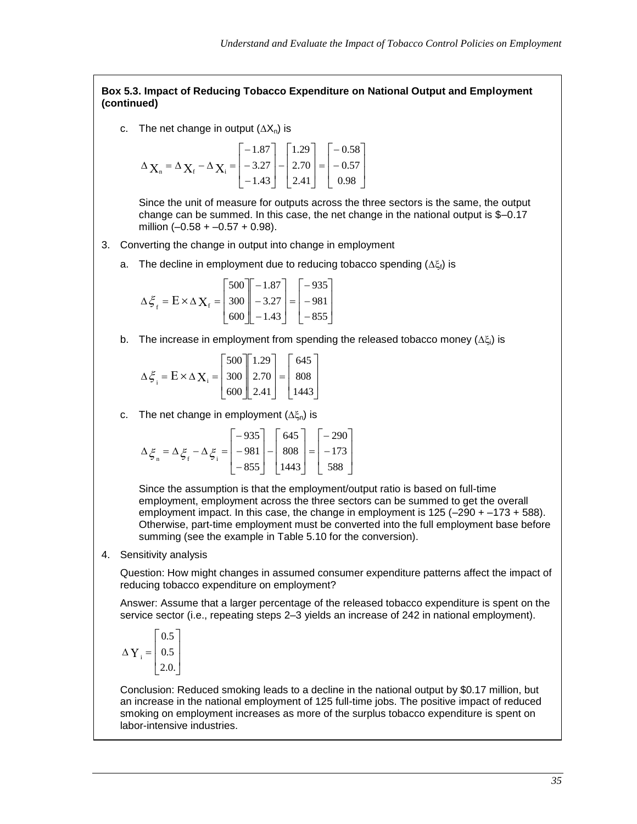#### **Box 5.3. Impact of Reducing Tobacco Expenditure on National Output and Employment (continued)**

c. The net change in output  $(\Delta X_n)$  is

$$
\Delta_{\mathbf{X}_{n}} = \Delta_{\mathbf{X}_{f}} - \Delta_{\mathbf{X}_{i}} = \begin{bmatrix} -1.87 \\ -3.27 \\ -1.43 \end{bmatrix} - \begin{bmatrix} 1.29 \\ 2.70 \\ 2.41 \end{bmatrix} = \begin{bmatrix} -0.58 \\ -0.57 \\ 0.98 \end{bmatrix}
$$

Since the unit of measure for outputs across the three sectors is the same, the output change can be summed. In this case, the net change in the national output is \$–0.17 million  $(-0.58 + -0.57 + 0.98)$ .

- 3. Converting the change in output into change in employment
	- a. The decline in employment due to reducing tobacco spending  $(\Delta \xi_i)$  is

$$
\Delta \xi_{\rm f} = \mathbf{E} \times \Delta \mathbf{X}_{\rm f} = \begin{bmatrix} 500 \\ 300 \\ 600 \end{bmatrix} \begin{bmatrix} -1.87 \\ -3.27 \\ -1.43 \end{bmatrix} = \begin{bmatrix} -935 \\ -981 \\ -855 \end{bmatrix}
$$

b. The increase in employment from spending the released tobacco money  $(\Delta \xi_i)$  is

$$
\Delta \xi_{i} = E \times \Delta \mathbf{X}_{i} = \begin{bmatrix} 500 \\ 300 \\ 600 \end{bmatrix} \begin{bmatrix} 1.29 \\ 2.70 \\ 2.41 \end{bmatrix} = \begin{bmatrix} 645 \\ 808 \\ 1443 \end{bmatrix}
$$

c. The net change in employment  $(\Delta \xi_n)$  is

$$
\Delta \xi_n = \Delta \xi_f - \Delta \xi_i = \begin{bmatrix} -935 \\ -981 \\ -855 \end{bmatrix} - \begin{bmatrix} 645 \\ 808 \\ 1443 \end{bmatrix} = \begin{bmatrix} -290 \\ -173 \\ 588 \end{bmatrix}
$$

Since the assumption is that the employment/output ratio is based on full-time employment, employment across the three sectors can be summed to get the overall employment impact. In this case, the change in employment is 125 (–290 + –173 + 588). Otherwise, part-time employment must be converted into the full employment base before summing (see the example in Table 5.10 for the conversion).

4. Sensitivity analysis

Question: How might changes in assumed consumer expenditure patterns affect the impact of reducing tobacco expenditure on employment?

Answer: Assume that a larger percentage of the released tobacco expenditure is spent on the service sector (i.e., repeating steps 2–3 yields an increase of 242 in national employment).

$$
\Delta Y_{i} = \begin{bmatrix} 0.5 \\ 0.5 \\ 2.0. \end{bmatrix}
$$

Conclusion: Reduced smoking leads to a decline in the national output by \$0.17 million, but an increase in the national employment of 125 full-time jobs. The positive impact of reduced smoking on employment increases as more of the surplus tobacco expenditure is spent on labor-intensive industries.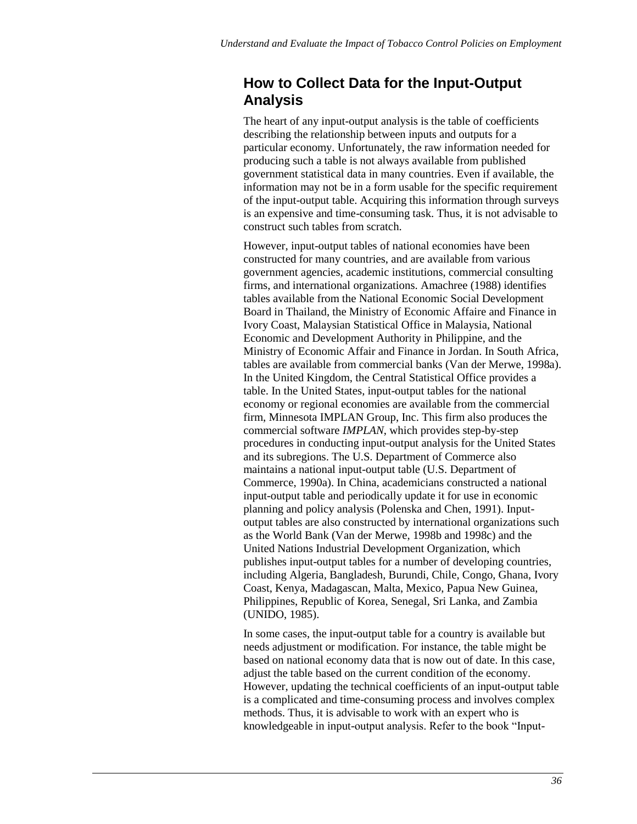### **How to Collect Data for the Input-Output Analysis**

The heart of any input-output analysis is the table of coefficients describing the relationship between inputs and outputs for a particular economy. Unfortunately, the raw information needed for producing such a table is not always available from published government statistical data in many countries. Even if available, the information may not be in a form usable for the specific requirement of the input-output table. Acquiring this information through surveys is an expensive and time-consuming task. Thus, it is not advisable to construct such tables from scratch.

However, input-output tables of national economies have been constructed for many countries, and are available from various government agencies, academic institutions, commercial consulting firms, and international organizations. Amachree (1988) identifies tables available from the National Economic Social Development Board in Thailand, the Ministry of Economic Affaire and Finance in Ivory Coast, Malaysian Statistical Office in Malaysia, National Economic and Development Authority in Philippine, and the Ministry of Economic Affair and Finance in Jordan. In South Africa, tables are available from commercial banks (Van der Merwe, 1998a). In the United Kingdom, the Central Statistical Office provides a table. In the United States, input-output tables for the national economy or regional economies are available from the commercial firm, Minnesota IMPLAN Group, Inc. This firm also produces the commercial software *IMPLAN*, which provides step-by-step procedures in conducting input-output analysis for the United States and its subregions. The U.S. Department of Commerce also maintains a national input-output table (U.S. Department of Commerce, 1990a). In China, academicians constructed a national input-output table and periodically update it for use in economic planning and policy analysis (Polenska and Chen, 1991). Inputoutput tables are also constructed by international organizations such as the World Bank (Van der Merwe, 1998b and 1998c) and the United Nations Industrial Development Organization, which publishes input-output tables for a number of developing countries, including Algeria, Bangladesh, Burundi, Chile, Congo, Ghana, Ivory Coast, Kenya, Madagascan, Malta, Mexico, Papua New Guinea, Philippines, Republic of Korea, Senegal, Sri Lanka, and Zambia (UNIDO, 1985).

In some cases, the input-output table for a country is available but needs adjustment or modification. For instance, the table might be based on national economy data that is now out of date. In this case, adjust the table based on the current condition of the economy. However, updating the technical coefficients of an input-output table is a complicated and time-consuming process and involves complex methods. Thus, it is advisable to work with an expert who is knowledgeable in input-output analysis. Refer to the book "Input-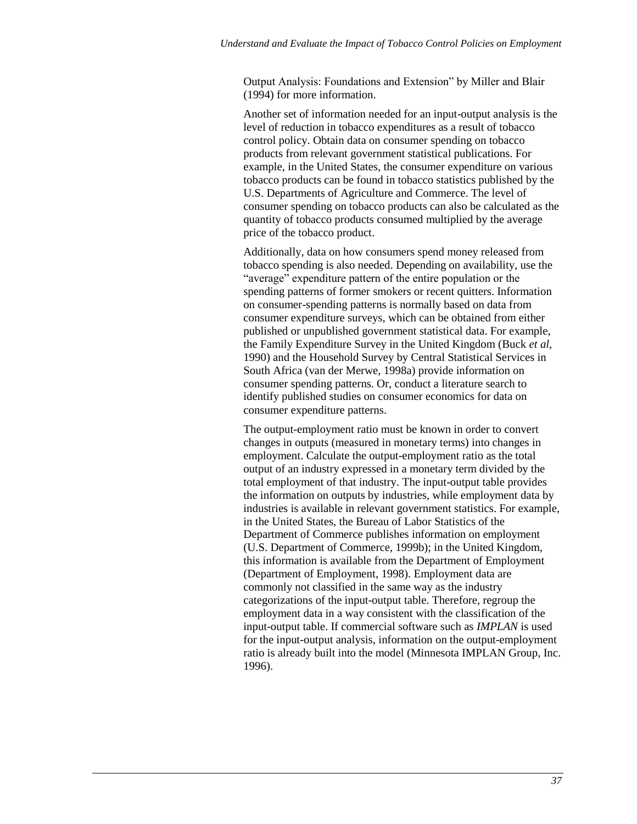Output Analysis: Foundations and Extension" by Miller and Blair (1994) for more information.

Another set of information needed for an input-output analysis is the level of reduction in tobacco expenditures as a result of tobacco control policy. Obtain data on consumer spending on tobacco products from relevant government statistical publications. For example, in the United States, the consumer expenditure on various tobacco products can be found in tobacco statistics published by the U.S. Departments of Agriculture and Commerce. The level of consumer spending on tobacco products can also be calculated as the quantity of tobacco products consumed multiplied by the average price of the tobacco product.

Additionally, data on how consumers spend money released from tobacco spending is also needed. Depending on availability, use the "average" expenditure pattern of the entire population or the spending patterns of former smokers or recent quitters. Information on consumer-spending patterns is normally based on data from consumer expenditure surveys, which can be obtained from either published or unpublished government statistical data. For example, the Family Expenditure Survey in the United Kingdom (Buck *et al*, 1990) and the Household Survey by Central Statistical Services in South Africa (van der Merwe, 1998a) provide information on consumer spending patterns. Or, conduct a literature search to identify published studies on consumer economics for data on consumer expenditure patterns.

The output-employment ratio must be known in order to convert changes in outputs (measured in monetary terms) into changes in employment. Calculate the output-employment ratio as the total output of an industry expressed in a monetary term divided by the total employment of that industry. The input-output table provides the information on outputs by industries, while employment data by industries is available in relevant government statistics. For example, in the United States, the Bureau of Labor Statistics of the Department of Commerce publishes information on employment (U.S. Department of Commerce, 1999b); in the United Kingdom, this information is available from the Department of Employment (Department of Employment, 1998). Employment data are commonly not classified in the same way as the industry categorizations of the input-output table. Therefore, regroup the employment data in a way consistent with the classification of the input-output table. If commercial software such as *IMPLAN* is used for the input-output analysis, information on the output-employment ratio is already built into the model (Minnesota IMPLAN Group, Inc. 1996).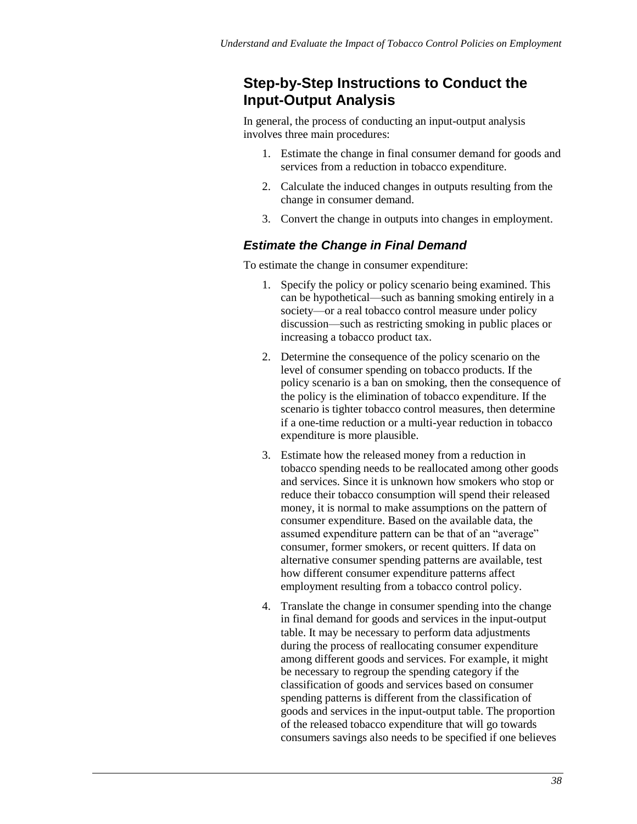### **Step-by-Step Instructions to Conduct the Input-Output Analysis**

In general, the process of conducting an input-output analysis involves three main procedures:

- 1. Estimate the change in final consumer demand for goods and services from a reduction in tobacco expenditure.
- 2. Calculate the induced changes in outputs resulting from the change in consumer demand.
- 3. Convert the change in outputs into changes in employment.

#### *Estimate the Change in Final Demand*

To estimate the change in consumer expenditure:

- 1. Specify the policy or policy scenario being examined. This can be hypothetical—such as banning smoking entirely in a society—or a real tobacco control measure under policy discussion—such as restricting smoking in public places or increasing a tobacco product tax.
- 2. Determine the consequence of the policy scenario on the level of consumer spending on tobacco products. If the policy scenario is a ban on smoking, then the consequence of the policy is the elimination of tobacco expenditure. If the scenario is tighter tobacco control measures, then determine if a one-time reduction or a multi-year reduction in tobacco expenditure is more plausible.
- 3. Estimate how the released money from a reduction in tobacco spending needs to be reallocated among other goods and services. Since it is unknown how smokers who stop or reduce their tobacco consumption will spend their released money, it is normal to make assumptions on the pattern of consumer expenditure. Based on the available data, the assumed expenditure pattern can be that of an "average" consumer, former smokers, or recent quitters. If data on alternative consumer spending patterns are available, test how different consumer expenditure patterns affect employment resulting from a tobacco control policy.
- 4. Translate the change in consumer spending into the change in final demand for goods and services in the input-output table. It may be necessary to perform data adjustments during the process of reallocating consumer expenditure among different goods and services. For example, it might be necessary to regroup the spending category if the classification of goods and services based on consumer spending patterns is different from the classification of goods and services in the input-output table. The proportion of the released tobacco expenditure that will go towards consumers savings also needs to be specified if one believes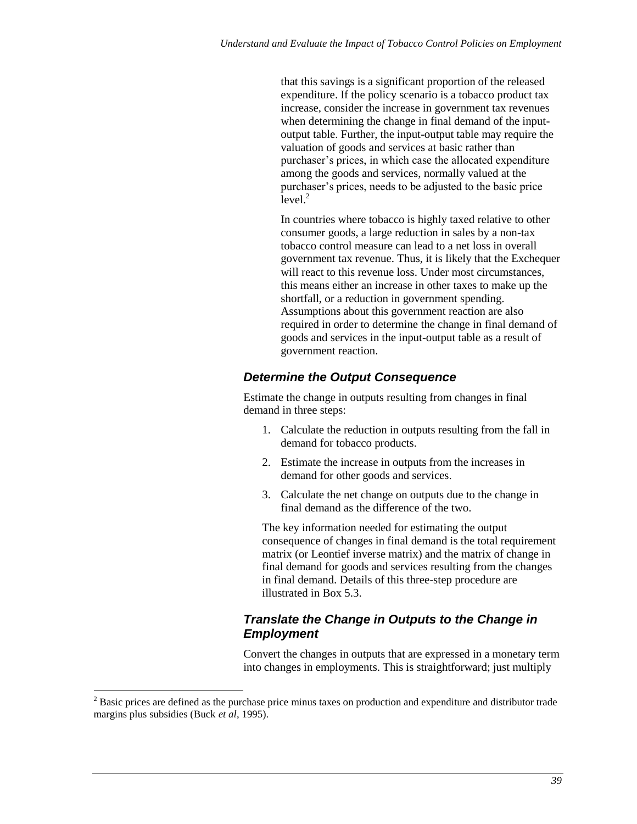that this savings is a significant proportion of the released expenditure. If the policy scenario is a tobacco product tax increase, consider the increase in government tax revenues when determining the change in final demand of the inputoutput table. Further, the input-output table may require the valuation of goods and services at basic rather than purchaser's prices, in which case the allocated expenditure among the goods and services, normally valued at the purchaser's prices, needs to be adjusted to the basic price  $level.<sup>2</sup>$ 

In countries where tobacco is highly taxed relative to other consumer goods, a large reduction in sales by a non-tax tobacco control measure can lead to a net loss in overall government tax revenue. Thus, it is likely that the Exchequer will react to this revenue loss. Under most circumstances, this means either an increase in other taxes to make up the shortfall, or a reduction in government spending. Assumptions about this government reaction are also required in order to determine the change in final demand of goods and services in the input-output table as a result of government reaction.

#### *Determine the Output Consequence*

Estimate the change in outputs resulting from changes in final demand in three steps:

- 1. Calculate the reduction in outputs resulting from the fall in demand for tobacco products.
- 2. Estimate the increase in outputs from the increases in demand for other goods and services.
- 3. Calculate the net change on outputs due to the change in final demand as the difference of the two.

The key information needed for estimating the output consequence of changes in final demand is the total requirement matrix (or Leontief inverse matrix) and the matrix of change in final demand for goods and services resulting from the changes in final demand. Details of this three-step procedure are illustrated in Box 5.3.

#### *Translate the Change in Outputs to the Change in Employment*

Convert the changes in outputs that are expressed in a monetary term into changes in employments. This is straightforward; just multiply

l

<sup>&</sup>lt;sup>2</sup> Basic prices are defined as the purchase price minus taxes on production and expenditure and distributor trade margins plus subsidies (Buck *et al*, 1995).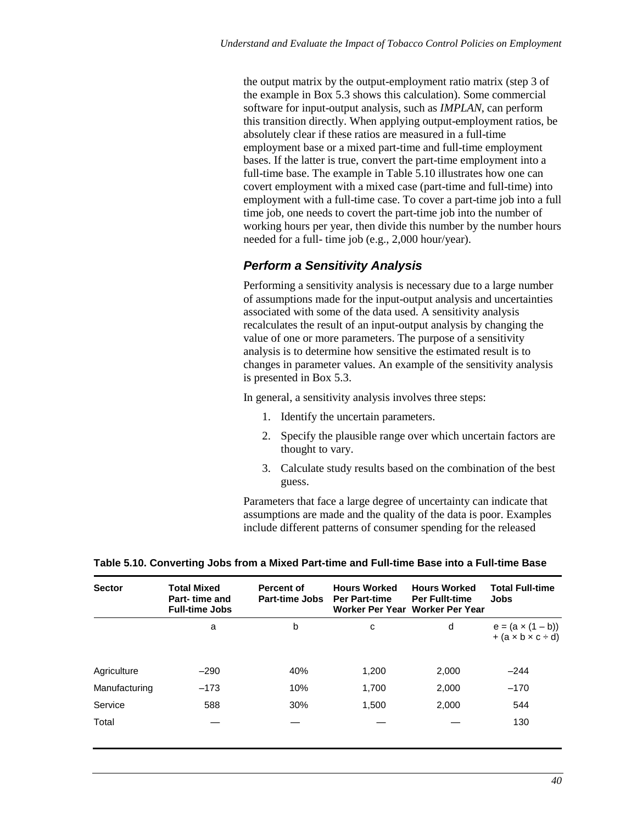the output matrix by the output-employment ratio matrix (step 3 of the example in Box 5.3 shows this calculation). Some commercial software for input-output analysis, such as *IMPLAN*, can perform this transition directly. When applying output-employment ratios, be absolutely clear if these ratios are measured in a full-time employment base or a mixed part-time and full-time employment bases. If the latter is true, convert the part-time employment into a full-time base. The example in Table 5.10 illustrates how one can covert employment with a mixed case (part-time and full-time) into employment with a full-time case. To cover a part-time job into a full time job, one needs to covert the part-time job into the number of working hours per year, then divide this number by the number hours needed for a full- time job (e.g., 2,000 hour/year).

#### *Perform a Sensitivity Analysis*

Performing a sensitivity analysis is necessary due to a large number of assumptions made for the input-output analysis and uncertainties associated with some of the data used. A sensitivity analysis recalculates the result of an input-output analysis by changing the value of one or more parameters. The purpose of a sensitivity analysis is to determine how sensitive the estimated result is to changes in parameter values. An example of the sensitivity analysis is presented in Box 5.3.

In general, a sensitivity analysis involves three steps:

- 1. Identify the uncertain parameters.
- 2. Specify the plausible range over which uncertain factors are thought to vary.
- 3. Calculate study results based on the combination of the best guess.

Parameters that face a large degree of uncertainty can indicate that assumptions are made and the quality of the data is poor. Examples include different patterns of consumer spending for the released

| <b>Sector</b> | <b>Total Mixed</b><br>Part-time and<br><b>Full-time Jobs</b> | <b>Percent of</b><br><b>Part-time Jobs</b> | <b>Hours Worked</b><br><b>Per Part-time</b> | <b>Hours Worked</b><br><b>Per Fullt-time</b><br>Worker Per Year Worker Per Year | <b>Total Full-time</b><br>Jobs                              |
|---------------|--------------------------------------------------------------|--------------------------------------------|---------------------------------------------|---------------------------------------------------------------------------------|-------------------------------------------------------------|
|               | a                                                            | b                                          | с                                           | d                                                                               | $e = (a \times (1 - b))$<br>$+(a \times b \times c \div d)$ |
| Agriculture   | $-290$                                                       | 40%                                        | 1,200                                       | 2,000                                                                           | $-244$                                                      |
| Manufacturing | $-173$                                                       | 10%                                        | 1.700                                       | 2,000                                                                           | $-170$                                                      |
| Service       | 588                                                          | 30%                                        | 1,500                                       | 2,000                                                                           | 544                                                         |
| Total         |                                                              |                                            |                                             |                                                                                 | 130                                                         |

**Table 5.10. Converting Jobs from a Mixed Part-time and Full-time Base into a Full-time Base**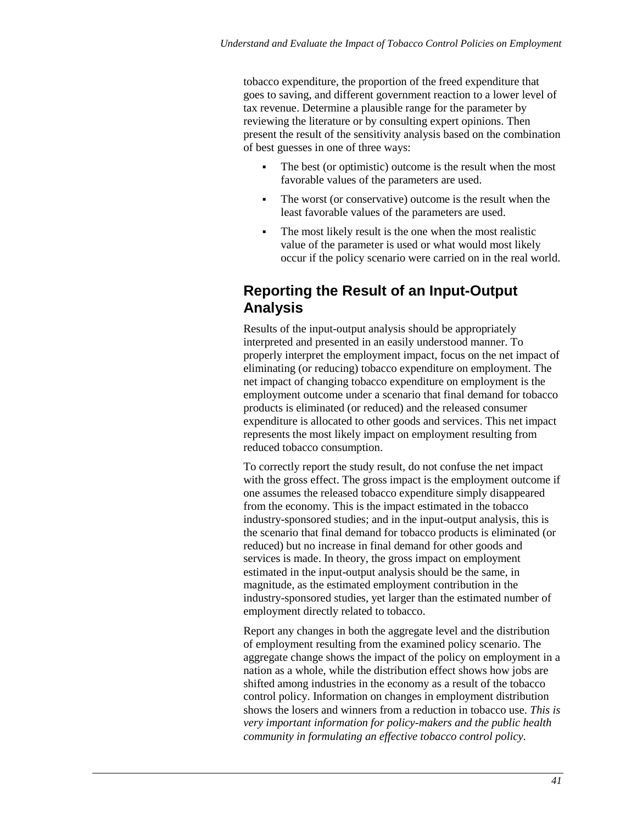tobacco expenditure, the proportion of the freed expenditure that goes to saving, and different government reaction to a lower level of tax revenue. Determine a plausible range for the parameter by reviewing the literature or by consulting expert opinions. Then present the result of the sensitivity analysis based on the combination of best guesses in one of three ways:

- The best (or optimistic) outcome is the result when the most favorable values of the parameters are used.
- The worst (or conservative) outcome is the result when the least favorable values of the parameters are used.
- The most likely result is the one when the most realistic value of the parameter is used or what would most likely occur if the policy scenario were carried on in the real world.

### **Reporting the Result of an Input-Output Analysis**

Results of the input-output analysis should be appropriately interpreted and presented in an easily understood manner. To properly interpret the employment impact, focus on the net impact of eliminating (or reducing) tobacco expenditure on employment. The net impact of changing tobacco expenditure on employment is the employment outcome under a scenario that final demand for tobacco products is eliminated (or reduced) and the released consumer expenditure is allocated to other goods and services. This net impact represents the most likely impact on employment resulting from reduced tobacco consumption.

To correctly report the study result, do not confuse the net impact with the gross effect. The gross impact is the employment outcome if one assumes the released tobacco expenditure simply disappeared from the economy. This is the impact estimated in the tobacco industry-sponsored studies; and in the input-output analysis, this is the scenario that final demand for tobacco products is eliminated (or reduced) but no increase in final demand for other goods and services is made. In theory, the gross impact on employment estimated in the input-output analysis should be the same, in magnitude, as the estimated employment contribution in the industry-sponsored studies, yet larger than the estimated number of employment directly related to tobacco.

Report any changes in both the aggregate level and the distribution of employment resulting from the examined policy scenario. The aggregate change shows the impact of the policy on employment in a nation as a whole, while the distribution effect shows how jobs are shifted among industries in the economy as a result of the tobacco control policy. Information on changes in employment distribution shows the losers and winners from a reduction in tobacco use. *This is very important information for policy-makers and the public health community in formulating an effective tobacco control policy.*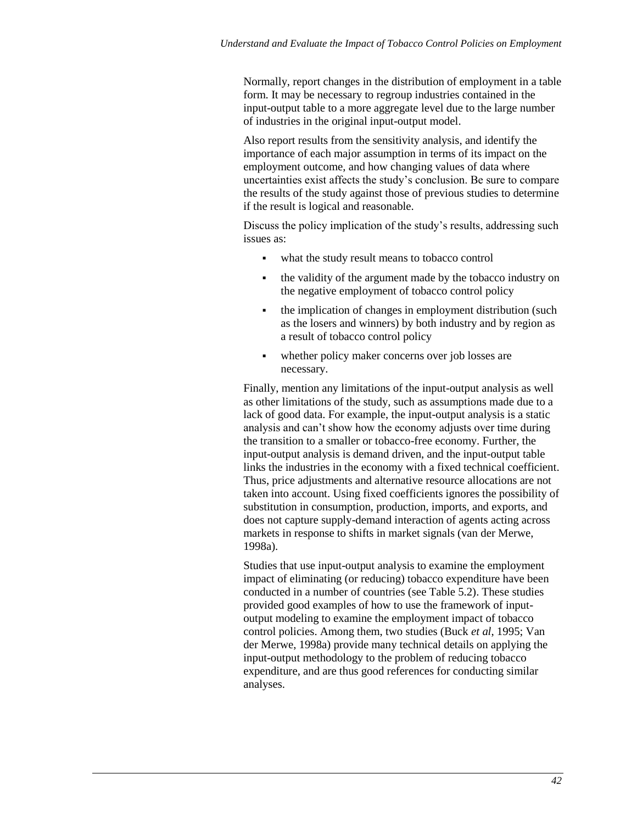Normally, report changes in the distribution of employment in a table form. It may be necessary to regroup industries contained in the input-output table to a more aggregate level due to the large number of industries in the original input-output model.

Also report results from the sensitivity analysis, and identify the importance of each major assumption in terms of its impact on the employment outcome, and how changing values of data where uncertainties exist affects the study's conclusion. Be sure to compare the results of the study against those of previous studies to determine if the result is logical and reasonable.

Discuss the policy implication of the study's results, addressing such issues as:

- what the study result means to tobacco control
- the validity of the argument made by the tobacco industry on the negative employment of tobacco control policy
- the implication of changes in employment distribution (such as the losers and winners) by both industry and by region as a result of tobacco control policy
- whether policy maker concerns over job losses are necessary.

Finally, mention any limitations of the input-output analysis as well as other limitations of the study, such as assumptions made due to a lack of good data. For example, the input-output analysis is a static analysis and can't show how the economy adjusts over time during the transition to a smaller or tobacco-free economy. Further, the input-output analysis is demand driven, and the input-output table links the industries in the economy with a fixed technical coefficient. Thus, price adjustments and alternative resource allocations are not taken into account. Using fixed coefficients ignores the possibility of substitution in consumption, production, imports, and exports, and does not capture supply-demand interaction of agents acting across markets in response to shifts in market signals (van der Merwe, 1998a).

Studies that use input-output analysis to examine the employment impact of eliminating (or reducing) tobacco expenditure have been conducted in a number of countries (see Table 5.2). These studies provided good examples of how to use the framework of inputoutput modeling to examine the employment impact of tobacco control policies. Among them, two studies (Buck *et al*, 1995; Van der Merwe, 1998a) provide many technical details on applying the input-output methodology to the problem of reducing tobacco expenditure, and are thus good references for conducting similar analyses.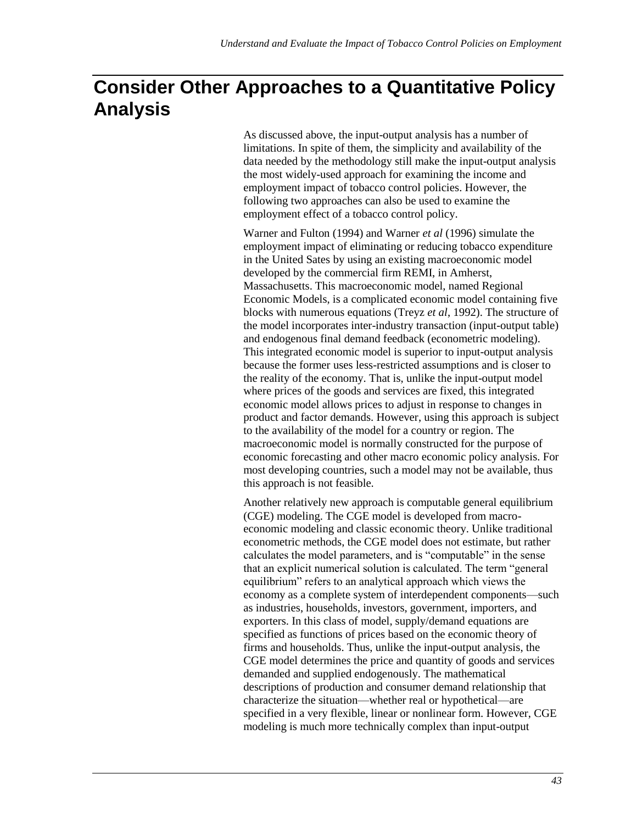# **Consider Other Approaches to a Quantitative Policy Analysis**

As discussed above, the input-output analysis has a number of limitations. In spite of them, the simplicity and availability of the data needed by the methodology still make the input-output analysis the most widely-used approach for examining the income and employment impact of tobacco control policies. However, the following two approaches can also be used to examine the employment effect of a tobacco control policy.

Warner and Fulton (1994) and Warner *et al* (1996) simulate the employment impact of eliminating or reducing tobacco expenditure in the United Sates by using an existing macroeconomic model developed by the commercial firm REMI, in Amherst, Massachusetts. This macroeconomic model, named Regional Economic Models, is a complicated economic model containing five blocks with numerous equations (Treyz *et al*, 1992). The structure of the model incorporates inter-industry transaction (input-output table) and endogenous final demand feedback (econometric modeling). This integrated economic model is superior to input-output analysis because the former uses less-restricted assumptions and is closer to the reality of the economy. That is, unlike the input-output model where prices of the goods and services are fixed, this integrated economic model allows prices to adjust in response to changes in product and factor demands. However, using this approach is subject to the availability of the model for a country or region. The macroeconomic model is normally constructed for the purpose of economic forecasting and other macro economic policy analysis. For most developing countries, such a model may not be available, thus this approach is not feasible.

Another relatively new approach is computable general equilibrium (CGE) modeling. The CGE model is developed from macroeconomic modeling and classic economic theory. Unlike traditional econometric methods, the CGE model does not estimate, but rather calculates the model parameters, and is "computable" in the sense that an explicit numerical solution is calculated. The term "general equilibrium" refers to an analytical approach which views the economy as a complete system of interdependent components—such as industries, households, investors, government, importers, and exporters. In this class of model, supply/demand equations are specified as functions of prices based on the economic theory of firms and households. Thus, unlike the input-output analysis, the CGE model determines the price and quantity of goods and services demanded and supplied endogenously. The mathematical descriptions of production and consumer demand relationship that characterize the situation—whether real or hypothetical—are specified in a very flexible, linear or nonlinear form. However, CGE modeling is much more technically complex than input-output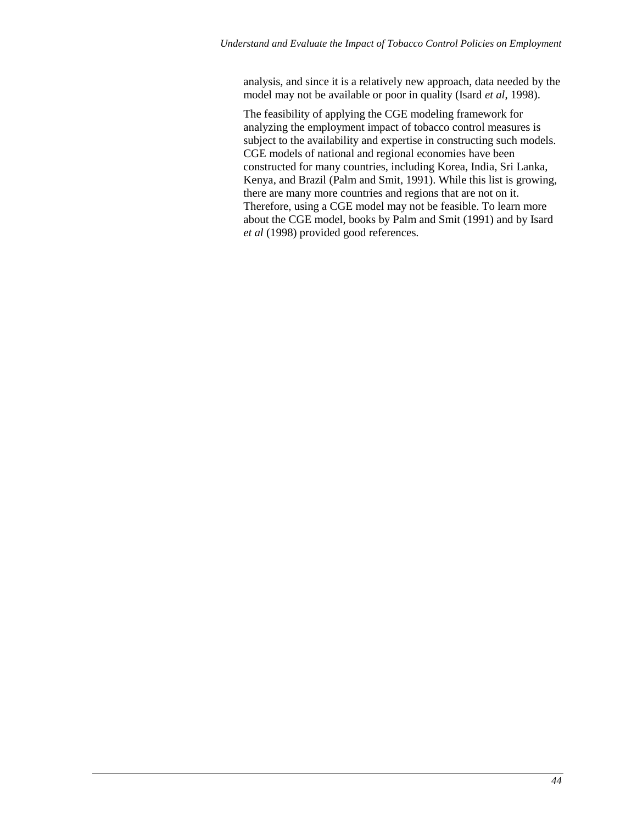analysis, and since it is a relatively new approach, data needed by the model may not be available or poor in quality (Isard *et al*, 1998).

The feasibility of applying the CGE modeling framework for analyzing the employment impact of tobacco control measures is subject to the availability and expertise in constructing such models. CGE models of national and regional economies have been constructed for many countries, including Korea, India, Sri Lanka, Kenya, and Brazil (Palm and Smit, 1991). While this list is growing, there are many more countries and regions that are not on it. Therefore, using a CGE model may not be feasible. To learn more about the CGE model, books by Palm and Smit (1991) and by Isard *et al* (1998) provided good references.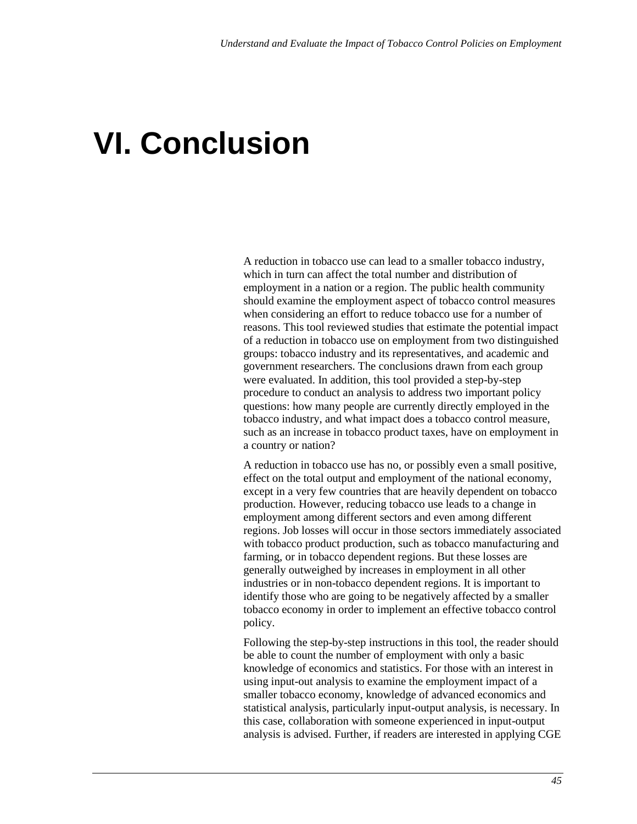# **VI. Conclusion**

A reduction in tobacco use can lead to a smaller tobacco industry, which in turn can affect the total number and distribution of employment in a nation or a region. The public health community should examine the employment aspect of tobacco control measures when considering an effort to reduce tobacco use for a number of reasons. This tool reviewed studies that estimate the potential impact of a reduction in tobacco use on employment from two distinguished groups: tobacco industry and its representatives, and academic and government researchers. The conclusions drawn from each group were evaluated. In addition, this tool provided a step-by-step procedure to conduct an analysis to address two important policy questions: how many people are currently directly employed in the tobacco industry, and what impact does a tobacco control measure, such as an increase in tobacco product taxes, have on employment in a country or nation?

A reduction in tobacco use has no, or possibly even a small positive, effect on the total output and employment of the national economy, except in a very few countries that are heavily dependent on tobacco production. However, reducing tobacco use leads to a change in employment among different sectors and even among different regions. Job losses will occur in those sectors immediately associated with tobacco product production, such as tobacco manufacturing and farming, or in tobacco dependent regions. But these losses are generally outweighed by increases in employment in all other industries or in non-tobacco dependent regions. It is important to identify those who are going to be negatively affected by a smaller tobacco economy in order to implement an effective tobacco control policy.

Following the step-by-step instructions in this tool, the reader should be able to count the number of employment with only a basic knowledge of economics and statistics. For those with an interest in using input-out analysis to examine the employment impact of a smaller tobacco economy, knowledge of advanced economics and statistical analysis, particularly input-output analysis, is necessary. In this case, collaboration with someone experienced in input-output analysis is advised. Further, if readers are interested in applying CGE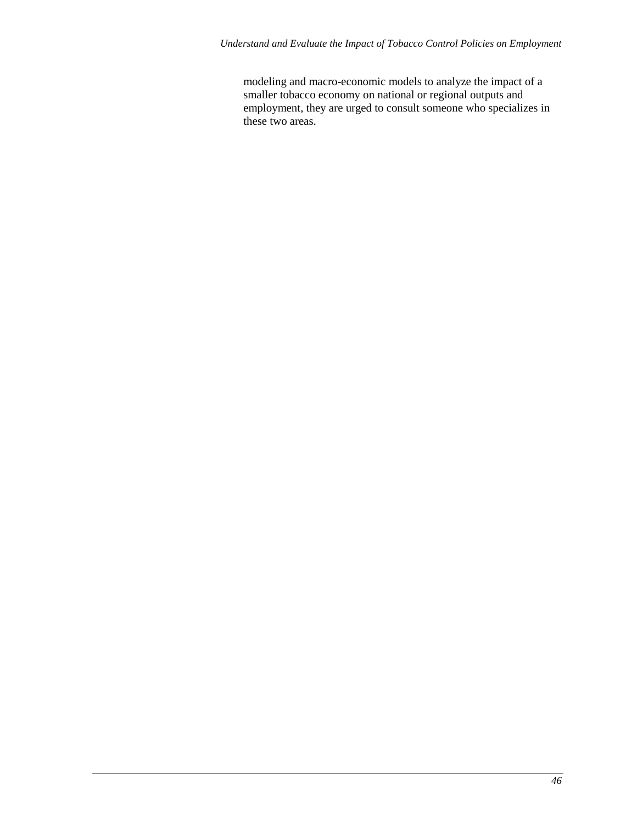modeling and macro-economic models to analyze the impact of a smaller tobacco economy on national or regional outputs and employment, they are urged to consult someone who specializes in these two areas.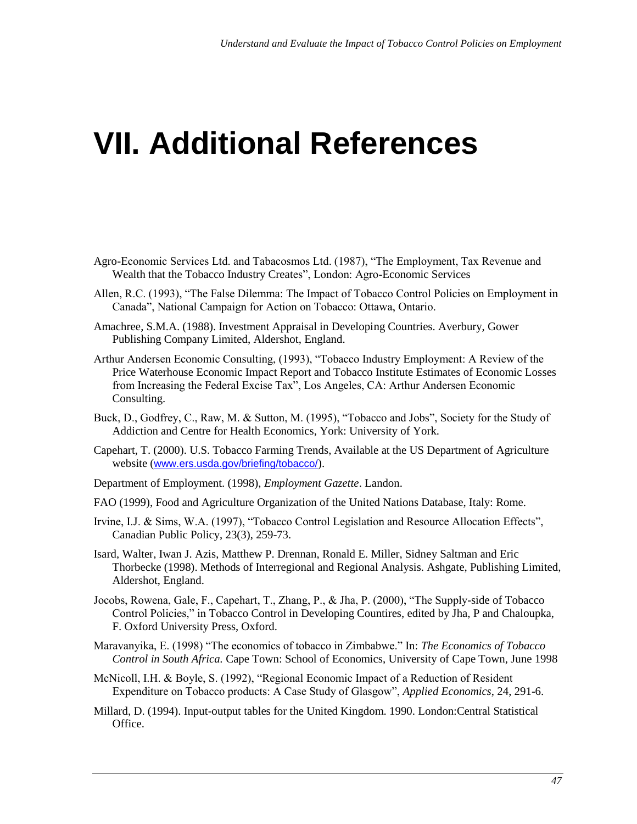# **VII. Additional References**

- Agro-Economic Services Ltd. and Tabacosmos Ltd. (1987), "The Employment, Tax Revenue and Wealth that the Tobacco Industry Creates", London: Agro-Economic Services
- Allen, R.C. (1993), "The False Dilemma: The Impact of Tobacco Control Policies on Employment in Canada", National Campaign for Action on Tobacco: Ottawa, Ontario.
- Amachree, S.M.A. (1988). Investment Appraisal in Developing Countries. Averbury, Gower Publishing Company Limited, Aldershot, England.
- Arthur Andersen Economic Consulting, (1993), "Tobacco Industry Employment: A Review of the Price Waterhouse Economic Impact Report and Tobacco Institute Estimates of Economic Losses from Increasing the Federal Excise Tax", Los Angeles, CA: Arthur Andersen Economic Consulting.
- Buck, D., Godfrey, C., Raw, M. & Sutton, M. (1995), "Tobacco and Jobs", Society for the Study of Addiction and Centre for Health Economics, York: University of York.
- Capehart, T. (2000). U.S. Tobacco Farming Trends, Available at the US Department of Agriculture website (www.ers.usda.gov/briefing/tobacco/).
- Department of Employment. (1998), *Employment Gazette*. Landon.
- FAO (1999), Food and Agriculture Organization of the United Nations Database, Italy: Rome.
- Irvine, I.J. & Sims, W.A. (1997), "Tobacco Control Legislation and Resource Allocation Effects", Canadian Public Policy, 23(3), 259-73.
- Isard, Walter, Iwan J. Azis, Matthew P. Drennan, Ronald E. Miller, Sidney Saltman and Eric Thorbecke (1998). Methods of Interregional and Regional Analysis. Ashgate, Publishing Limited, Aldershot, England.
- Jocobs, Rowena, Gale, F., Capehart, T., Zhang, P., & Jha, P. (2000), "The Supply-side of Tobacco Control Policies," in Tobacco Control in Developing Countires, edited by Jha, P and Chaloupka, F. Oxford University Press, Oxford.
- Maravanyika, E. (1998) "The economics of tobacco in Zimbabwe." In: *The Economics of Tobacco Control in South Africa.* Cape Town: School of Economics, University of Cape Town, June 1998
- McNicoll, I.H. & Boyle, S. (1992), "Regional Economic Impact of a Reduction of Resident Expenditure on Tobacco products: A Case Study of Glasgow", *Applied Economics*, 24, 291-6.
- Millard, D. (1994). Input-output tables for the United Kingdom. 1990. London:Central Statistical Office.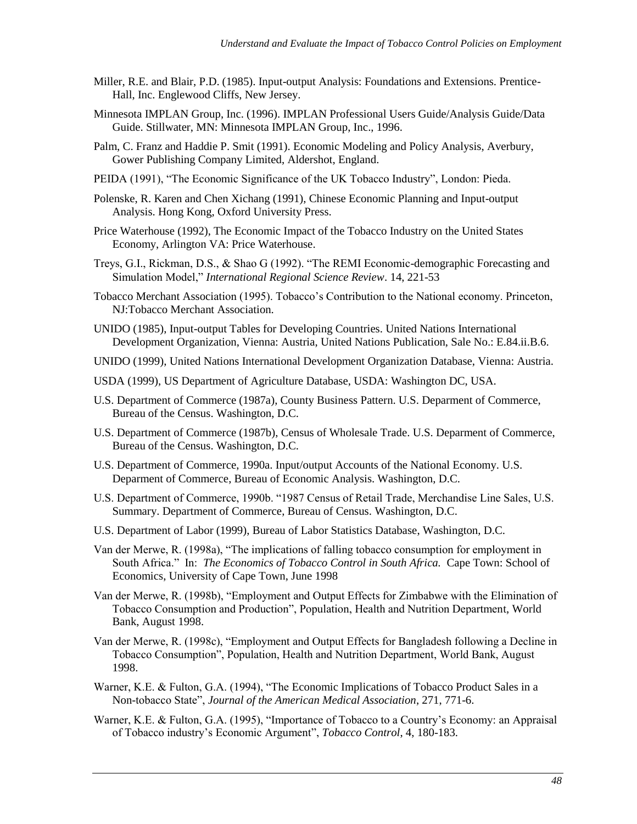- Miller, R.E. and Blair, P.D. (1985). Input-output Analysis: Foundations and Extensions. Prentice-Hall, Inc. Englewood Cliffs, New Jersey.
- Minnesota IMPLAN Group, Inc. (1996). IMPLAN Professional Users Guide/Analysis Guide/Data Guide. Stillwater, MN: Minnesota IMPLAN Group, Inc., 1996.
- Palm, C. Franz and Haddie P. Smit (1991). Economic Modeling and Policy Analysis, Averbury, Gower Publishing Company Limited, Aldershot, England.
- PEIDA (1991), "The Economic Significance of the UK Tobacco Industry", London: Pieda.
- Polenske, R. Karen and Chen Xichang (1991), Chinese Economic Planning and Input-output Analysis. Hong Kong, Oxford University Press.
- Price Waterhouse (1992), The Economic Impact of the Tobacco Industry on the United States Economy, Arlington VA: Price Waterhouse.
- Treys, G.I., Rickman, D.S., & Shao G (1992). "The REMI Economic-demographic Forecasting and Simulation Model," *International Regional Science Review*. 14, 221-53
- Tobacco Merchant Association (1995). Tobacco's Contribution to the National economy. Princeton, NJ:Tobacco Merchant Association.
- UNIDO (1985), Input-output Tables for Developing Countries. United Nations International Development Organization, Vienna: Austria, United Nations Publication, Sale No.: E.84.ii.B.6.
- UNIDO (1999), United Nations International Development Organization Database, Vienna: Austria.
- USDA (1999), US Department of Agriculture Database, USDA: Washington DC, USA.
- U.S. Department of Commerce (1987a), County Business Pattern. U.S. Deparment of Commerce, Bureau of the Census. Washington, D.C.
- U.S. Department of Commerce (1987b), Census of Wholesale Trade. U.S. Deparment of Commerce, Bureau of the Census. Washington, D.C.
- U.S. Department of Commerce, 1990a. Input/output Accounts of the National Economy. U.S. Deparment of Commerce, Bureau of Economic Analysis. Washington, D.C.
- U.S. Department of Commerce, 1990b. "1987 Census of Retail Trade, Merchandise Line Sales, U.S. Summary. Department of Commerce, Bureau of Census. Washington, D.C.
- U.S. Department of Labor (1999), Bureau of Labor Statistics Database, Washington, D.C.
- Van der Merwe, R. (1998a), "The implications of falling tobacco consumption for employment in South Africa." In: *The Economics of Tobacco Control in South Africa.* Cape Town: School of Economics, University of Cape Town, June 1998
- Van der Merwe, R. (1998b), "Employment and Output Effects for Zimbabwe with the Elimination of Tobacco Consumption and Production", Population, Health and Nutrition Department, World Bank, August 1998.
- Van der Merwe, R. (1998c), "Employment and Output Effects for Bangladesh following a Decline in Tobacco Consumption", Population, Health and Nutrition Department, World Bank, August 1998.
- Warner, K.E. & Fulton, G.A. (1994), "The Economic Implications of Tobacco Product Sales in a Non-tobacco State", *Journal of the American Medical Association*, 271, 771-6.
- Warner, K.E. & Fulton, G.A. (1995), "Importance of Tobacco to a Country's Economy: an Appraisal of Tobacco industry's Economic Argument", *Tobacco Control*, 4, 180-183.